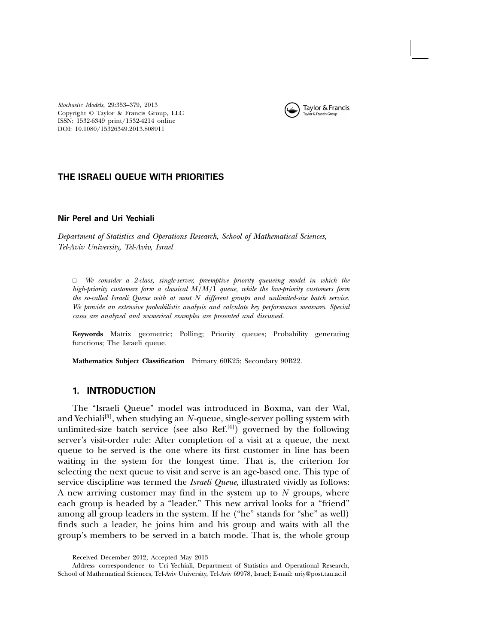

# THE ISRAELI QUEUE WITH PRIORITIES

## Nir Perel and Uri Yechiali

Department of Statistics and Operations Research, School of Mathematical Sciences, Tel-Aviv University, Tel-Aviv, Israel

 $\Box$  We consider a 2-class, single-server, preemptive priority queueing model in which the high-priority customers form a classical M/M/1 queue, while the low-priority customers form the so-called Israeli Queue with at most N different groups and unlimited-size batch service. We provide an extensive probabilistic analysis and calculate key performance measures. Special cases are analyzed and numerical examples are presented and discussed.

**Keywords** Matrix geometric; Polling; Priority queues; Probability generating functions; The Israeli queue.

**Mathematics Subject Classification** Primary 60K25; Secondary 90B22.

# 1. INTRODUCTION

The "Israeli Queue" model was introduced in Boxma, van der Wal, and Yechiali $^{\text{\tiny{[3]}}}$ , when studying an  $N$ -queue, single-server polling system with unlimited-size batch service (see also  $Ref^{[4]}$ ) governed by the following server's visit-order rule: After completion of a visit at a queue, the next queue to be served is the one where its first customer in line has been waiting in the system for the longest time. That is, the criterion for selecting the next queue to visit and serve is an age-based one. This type of service discipline was termed the *Israeli Queue*, illustrated vividly as follows: A new arriving customer may find in the system up to  $N$  groups, where each group is headed by a "leader." This new arrival looks for a "friend" among all group leaders in the system. If he ("he" stands for "she" as well) finds such a leader, he joins him and his group and waits with all the group's members to be served in a batch mode. That is, the whole group

Received December 2012; Accepted May 2013

Address correspondence to Uri Yechiali, Department of Statistics and Operational Research, School of Mathematical Sciences, Tel-Aviv University, Tel-Aviv 69978, Israel; E-mail: uriy@post.tau.ac.il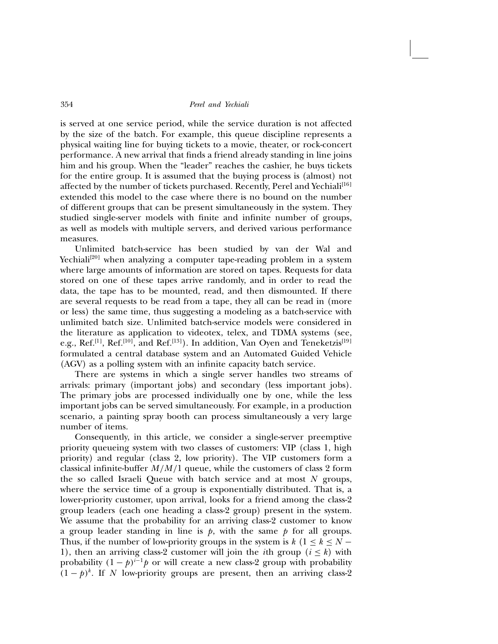is served at one service period, while the service duration is not affected by the size of the batch. For example, this queue discipline represents a physical waiting line for buying tickets to a movie, theater, or rock-concert performance. A new arrival that finds a friend already standing in line joins him and his group. When the "leader" reaches the cashier, he buys tickets for the entire group. It is assumed that the buying process is (almost) not affected by the number of tickets purchased. Recently, Perel and Yechiali<sup>[16]</sup> extended this model to the case where there is no bound on the number of different groups that can be present simultaneously in the system. They studied single-server models with finite and infinite number of groups, as well as models with multiple servers, and derived various performance measures.

Unlimited batch-service has been studied by van der Wal and Yechiali<sup>[20]</sup> when analyzing a computer tape-reading problem in a system where large amounts of information are stored on tapes. Requests for data stored on one of these tapes arrive randomly, and in order to read the data, the tape has to be mounted, read, and then dismounted. If there are several requests to be read from a tape, they all can be read in (more or less) the same time, thus suggesting a modeling as a batch-service with unlimited batch size. Unlimited batch-service models were considered in the literature as application to videotex, telex, and TDMA systems (see, e.g., Ref.<sup>[1]</sup>, Ref.<sup>[10]</sup>, and Ref.<sup>[13]</sup>). In addition, Van Oyen and Teneketzis<sup>[19]</sup> formulated a central database system and an Automated Guided Vehicle (AGV) as a polling system with an infinite capacity batch service.

There are systems in which a single server handles two streams of arrivals: primary (important jobs) and secondary (less important jobs). The primary jobs are processed individually one by one, while the less important jobs can be served simultaneously. For example, in a production scenario, a painting spray booth can process simultaneously a very large number of items.

Consequently, in this article, we consider a single-server preemptive priority queueing system with two classes of customers: VIP (class 1, high priority) and regular (class 2, low priority). The VIP customers form a classical infinite-buffer  $M/M/1$  queue, while the customers of class 2 form the so called Israeli Queue with batch service and at most  $N$  groups, where the service time of a group is exponentially distributed. That is, a lower-priority customer, upon arrival, looks for a friend among the class-2 group leaders (each one heading a class-2 group) present in the system. We assume that the probability for an arriving class-2 customer to know a group leader standing in line is  $p$ , with the same  $p$  for all groups. Thus, if the number of low-priority groups in the system is  $k$  ( $1 \leq k \leq N - 1$ ) 1), then an arriving class-2 customer will join the *i*th group  $(i \leq k)$  with probability  $(1 - p)^{i-1}p$  or will create a new class-2 group with probability  $(1 - p)^k$ . If N low-priority groups are present, then an arriving class-2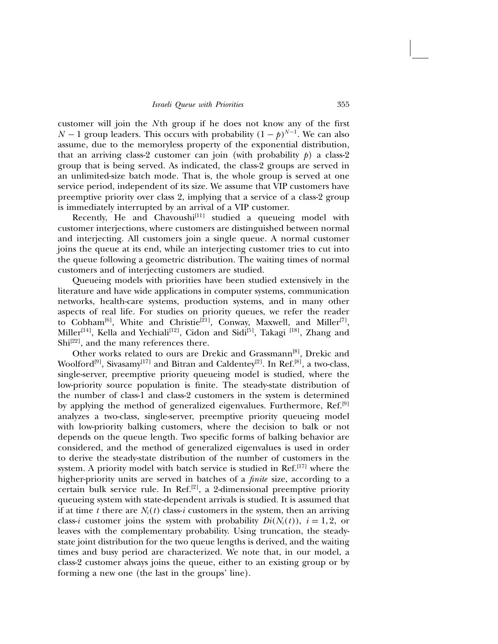customer will join the Nth group if he does not know any of the first  $N-1$  group leaders. This occurs with probability  $(1 - p)^{N-1}$ . We can also assume, due to the memoryless property of the exponential distribution, that an arriving class-2 customer can join (with probability  $\phi$ ) a class-2 group that is being served. As indicated, the class-2 groups are served in an unlimited-size batch mode. That is, the whole group is served at one service period, independent of its size. We assume that VIP customers have preemptive priority over class 2, implying that a service of a class-2 group is immediately interrupted by an arrival of a VIP customer.

Recently, He and Chavoushi<sup>[11]</sup> studied a queueing model with customer interjections, where customers are distinguished between normal and interjecting. All customers join a single queue. A normal customer joins the queue at its end, while an interjecting customer tries to cut into the queue following a geometric distribution. The waiting times of normal customers and of interjecting customers are studied.

Queueing models with priorities have been studied extensively in the literature and have wide applications in computer systems, communication networks, health-care systems, production systems, and in many other aspects of real life. For studies on priority queues, we refer the reader to Cobham $^{[6]}$ , White and Christie<sup>[21]</sup>, Conway, Maxwell, and Miller<sup>[7]</sup>, Miller $^{[14]}$ , Kella and Yechiali $^{[12]}$ , Cidon and Sidi $^{[5]}$ , Takagi  $^{[18]}$ , Zhang and  $\text{Shi}^{[22]}$ , and the many references there.

Other works related to ours are Drekic and Grassmann<sup>[8]</sup>, Drekic and Woolford $^{[9]}$ , Sivasamy $^{[17]}$  and Bitran and Caldentey $^{[2]}$ . In Ref. $^{[8]}$ , a two-class, single-server, preemptive priority queueing model is studied, where the low-priority source population is finite. The steady-state distribution of the number of class-1 and class-2 customers in the system is determined by applying the method of generalized eigenvalues. Furthermore, Ref.<sup>[9]</sup> analyzes a two-class, single-server, preemptive priority queueing model with low-priority balking customers, where the decision to balk or not depends on the queue length. Two specific forms of balking behavior are considered, and the method of generalized eigenvalues is used in order to derive the steady-state distribution of the number of customers in the system. A priority model with batch service is studied in Ref.<sup>[17]</sup> where the higher-priority units are served in batches of a *finite* size, according to a certain bulk service rule. In Ref.<sup>[2]</sup>, a 2-dimensional preemptive priority queueing system with state-dependent arrivals is studied. It is assumed that if at time t there are  $N_i(t)$  class-i customers in the system, then an arriving class-i customer joins the system with probability  $Di(N_i(t))$ ,  $i = 1, 2$ , or leaves with the complementary probability. Using truncation, the steadystate joint distribution for the two queue lengths is derived, and the waiting times and busy period are characterized. We note that, in our model, a class-2 customer always joins the queue, either to an existing group or by forming a new one (the last in the groups' line).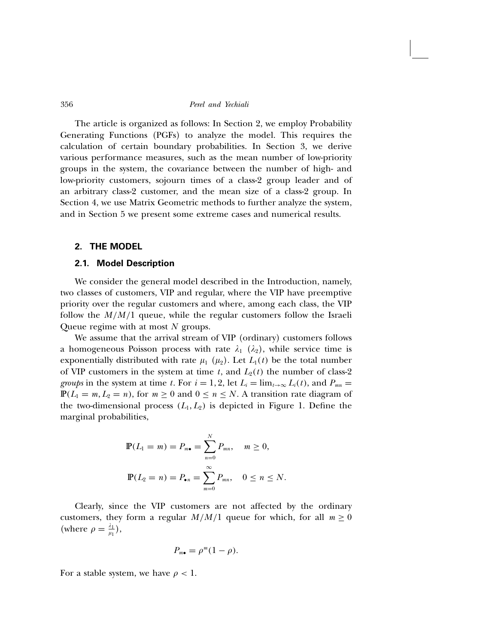The article is organized as follows: In Section 2, we employ Probability Generating Functions (PGFs) to analyze the model. This requires the calculation of certain boundary probabilities. In Section 3, we derive various performance measures, such as the mean number of low-priority groups in the system, the covariance between the number of high- and low-priority customers, sojourn times of a class-2 group leader and of an arbitrary class-2 customer, and the mean size of a class-2 group. In Section 4, we use Matrix Geometric methods to further analyze the system, and in Section 5 we present some extreme cases and numerical results.

#### 2. THE MODEL

#### 2.1. Model Description

We consider the general model described in the Introduction, namely, two classes of customers, VIP and regular, where the VIP have preemptive priority over the regular customers and where, among each class, the VIP follow the  $M/M/1$  queue, while the regular customers follow the Israeli Queue regime with at most  $N$  groups.

We assume that the arrival stream of VIP (ordinary) customers follows a homogeneous Poisson process with rate  $\lambda_1$  ( $\lambda_2$ ), while service time is exponentially distributed with rate  $\mu_1$  ( $\mu_2$ ). Let  $L_1(t)$  be the total number of VIP customers in the system at time t, and  $L_2(t)$  the number of class-2 *groups* in the system at time t. For  $i = 1, 2$ , let  $L_i = \lim_{t\to\infty} L_i(t)$ , and  $P_{mn} =$  $\mathbb{P}(L_1 = m, L_2 = n)$ , for  $m \ge 0$  and  $0 \le n \le N$ . A transition rate diagram of the two-dimensional process  $(L_1, L_2)$  is depicted in Figure 1. Define the marginal probabilities,

$$
\mathbb{P}(L_1 = m) = P_{m\bullet} = \sum_{n=0}^{N} P_{mn}, \quad m \ge 0,
$$
  

$$
\mathbb{P}(L_2 = n) = P_{\bullet n} = \sum_{m=0}^{\infty} P_{mn}, \quad 0 \le n \le N.
$$

Clearly, since the VIP customers are not affected by the ordinary customers, they form a regular  $M/M/1$  queue for which, for all  $m \ge 0$ (where  $\rho = \frac{\lambda_1}{\mu_1}$ ),

$$
P_{m\bullet}=\rho^m(1-\rho).
$$

For a stable system, we have  $\rho < 1$ .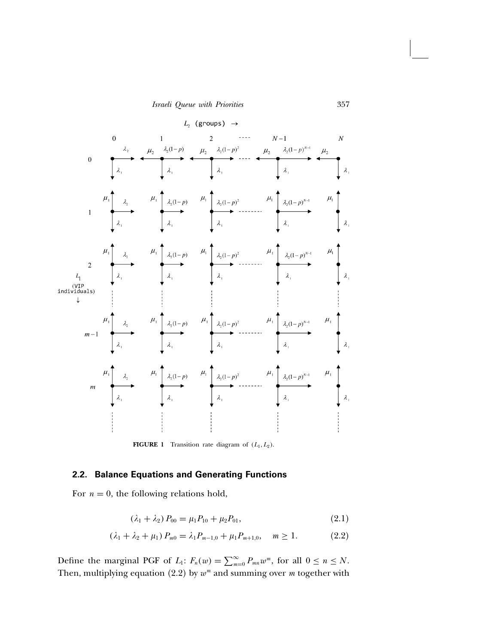

**FIGURE 1** Transition rate diagram of  $(L_1, L_2)$ .

#### 2.2. Balance Equations and Generating Functions

For  $n = 0$ , the following relations hold,

$$
(\lambda_1 + \lambda_2) P_{00} = \mu_1 P_{10} + \mu_2 P_{01}, \tag{2.1}
$$

$$
(\lambda_1 + \lambda_2 + \mu_1) P_{m0} = \lambda_1 P_{m-1,0} + \mu_1 P_{m+1,0}, \quad m \ge 1.
$$
 (2.2)

Define the marginal PGF of  $L_1$ :  $F_n(w) = \sum_{m=0}^{\infty} P_{mn}w^m$ , for all  $0 \le n \le N$ . Then, multiplying equation (2.2) by  $w^m$  and summing over m together with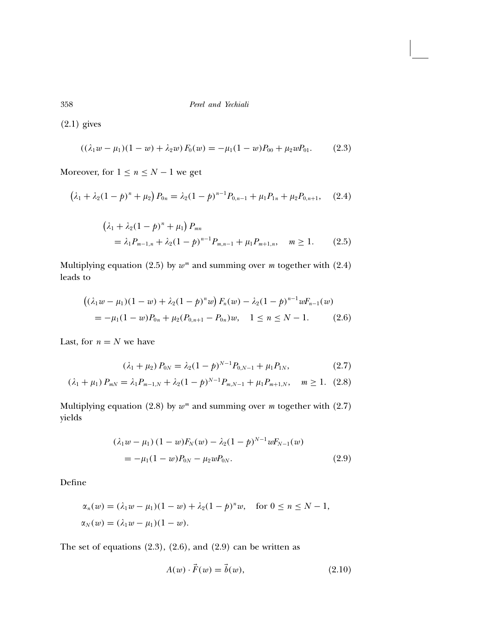(2.1) gives

$$
((\lambda_1 w - \mu_1)(1 - w) + \lambda_2 w) F_0(w) = -\mu_1 (1 - w) P_{00} + \mu_2 w P_{01}.
$$
 (2.3)

Moreover, for  $1 \le n \le N - 1$  we get

$$
(\lambda_1 + \lambda_2(1-p)^n + \mu_2) P_{0n} = \lambda_2(1-p)^{n-1} P_{0,n-1} + \mu_1 P_{1n} + \mu_2 P_{0,n+1}, \quad (2.4)
$$

$$
\left(\lambda_1 + \lambda_2 (1 - p)^n + \mu_1\right) P_{mn}
$$
  
=  $\lambda_1 P_{m-1,n} + \lambda_2 (1 - p)^{n-1} P_{m,n-1} + \mu_1 P_{m+1,n}, \quad m \ge 1.$  (2.5)

Multiplying equation (2.5) by  $w^m$  and summing over m together with (2.4) leads to

$$
((\lambda_1 w - \mu_1)(1 - w) + \lambda_2 (1 - p)^n w) F_n(w) - \lambda_2 (1 - p)^{n-1} w F_{n-1}(w)
$$
  
=  $-\mu_1 (1 - w) P_{0n} + \mu_2 (P_{0, n+1} - P_{0n}) w, \quad 1 \le n \le N - 1.$  (2.6)

Last, for  $n = N$  we have

$$
(\lambda_1 + \mu_2) P_{0N} = \lambda_2 (1 - p)^{N-1} P_{0,N-1} + \mu_1 P_{1N}, \qquad (2.7)
$$

$$
(\lambda_1 + \mu_1) P_{mN} = \lambda_1 P_{m-1,N} + \lambda_2 (1 - p)^{N-1} P_{m,N-1} + \mu_1 P_{m+1,N}, \quad m \ge 1. \tag{2.8}
$$

Multiplying equation (2.8) by  $w^m$  and summing over m together with (2.7) yields

$$
(\lambda_1 w - \mu_1) (1 - w) F_N(w) - \lambda_2 (1 - p)^{N-1} w F_{N-1}(w)
$$
  
= 
$$
-\mu_1 (1 - w) P_{0N} - \mu_2 w P_{0N}.
$$
 (2.9)

Define

$$
\alpha_n(w) = (\lambda_1 w - \mu_1)(1 - w) + \lambda_2 (1 - p)^n w, \text{ for } 0 \le n \le N - 1,
$$
  

$$
\alpha_N(w) = (\lambda_1 w - \mu_1)(1 - w).
$$

The set of equations  $(2.3)$ ,  $(2.6)$ , and  $(2.9)$  can be written as

$$
A(w) \cdot \vec{F}(w) = \vec{b}(w), \tag{2.10}
$$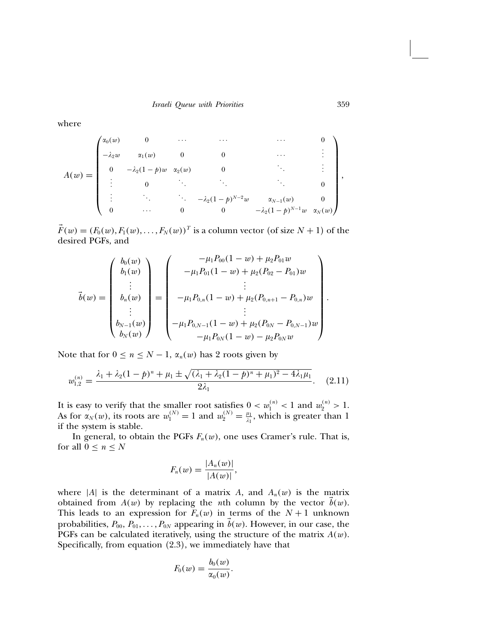where

$$
A(w) = \begin{pmatrix} \alpha_0(w) & 0 & \cdots & \cdots & \cdots & 0 \\ -\lambda_2w & \alpha_1(w) & 0 & 0 & \cdots & \vdots \\ 0 & -\lambda_2(1-p)w & \alpha_2(w) & 0 & \ddots & \vdots \\ \vdots & 0 & \ddots & \ddots & \ddots & 0 \\ \vdots & \ddots & \ddots & -\lambda_2(1-p)^{N-2}w & \alpha_{N-1}(w) & 0 \\ 0 & \cdots & 0 & 0 & -\lambda_2(1-p)^{N-1}w & \alpha_N(w) \end{pmatrix},
$$

 $\vec{F}(w) = (F_0(w), F_1(w), \dots, F_N(w))^T$  is a column vector (of size  $N + 1$ ) of the desired PGFs, and

$$
\vec{b}(w) = \begin{pmatrix} b_0(w) \\ b_1(w) \\ \vdots \\ b_n(w) \\ \vdots \\ b_{N-1}(w) \\ b_N(w) \end{pmatrix} = \begin{pmatrix} -\mu_1 P_{00}(1-w) + \mu_2 P_{01}w \\ -\mu_1 P_{01}(1-w) + \mu_2 (P_{02} - P_{01})w \\ \vdots \\ -\mu_1 P_{0,n}(1-w) + \mu_2 (P_{0,n+1} - P_{0,n})w \\ \vdots \\ -\mu_1 P_{0,N-1}(1-w) + \mu_2 (P_{0N} - P_{0,N-1})w \\ -\mu_1 P_{0N}(1-w) - \mu_2 P_{0N}w \end{pmatrix}.
$$

Note that for  $0 \le n \le N - 1$ ,  $\alpha_n(w)$  has 2 roots given by

$$
w_{1,2}^{(n)} = \frac{\lambda_1 + \lambda_2 (1 - p)^n + \mu_1 \pm \sqrt{(\lambda_1 + \lambda_2 (1 - p)^n + \mu_1)^2 - 4\lambda_1 \mu_1}}{2\lambda_1}.
$$
 (2.11)

It is easy to verify that the smaller root satisfies  $0 < w_1^{(n)} < 1$  and  $w_2^{(n)} > 1$ . As for  $\alpha_N(w)$ , its roots are  $w_1^{(N)} = 1$  and  $w_2^{(N)} = \frac{\mu_1}{\lambda_1}$ , which is greater than 1 if the system is stable.

In general, to obtain the PGFs  $F_n(w)$ , one uses Cramer's rule. That is, for all  $0 \leq n \leq N$ 

$$
F_n(w)=\frac{|A_n(w)|}{|A(w)|},
$$

where |A| is the determinant of a matrix A, and  $A_n(w)$  is the matrix obtained from  $A(w)$  by replacing the *n*th column by the vector  $b(w)$ . This leads to an expression for  $F_n(w)$  in terms of the  $N+1$  unknown probabilities,  $P_{00}$ ,  $P_{01}$ ,...,  $P_{0N}$  appearing in  $b(w)$ . However, in our case, the PGFs can be calculated iteratively, using the structure of the matrix  $A(w)$ . Specifically, from equation (2.3), we immediately have that

$$
F_0(w)=\frac{b_0(w)}{\alpha_0(w)}.
$$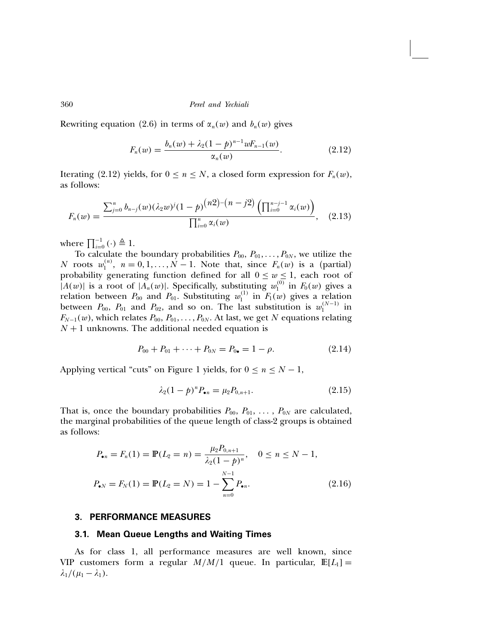360 Perel and Yechiali

Rewriting equation (2.6) in terms of  $\alpha_n(w)$  and  $b_n(w)$  gives

$$
F_n(w) = \frac{b_n(w) + \lambda_2 (1 - p)^{n-1} w F_{n-1}(w)}{\alpha_n(w)}.
$$
 (2.12)

Iterating (2.12) yields, for  $0 \le n \le N$ , a closed form expression for  $F_n(w)$ , as follows:

$$
F_n(w) = \frac{\sum_{j=0}^n b_{n-j}(w)(\lambda_2 w)^j (1-p)^{(n-2)-(n-j)} \left(\prod_{i=0}^{n-j-1} \alpha_i(w)\right)}{\prod_{i=0}^n \alpha_i(w)}, \quad (2.13)
$$

where  $\prod_{i=0}^{-1}(\cdot) \triangleq 1$ .

To calculate the boundary probabilities  $P_{00}$ ,  $P_{01}$ , ...,  $P_{0N}$ , we utilize the N roots  $w_1^{(n)}$ ,  $n = 0, 1, ..., N-1$ . Note that, since  $F_n(w)$  is a (partial) probability generating function defined for all  $0 \leq w \leq 1$ , each root of  $|A(w)|$  is a root of  $|A_n(w)|$ . Specifically, substituting  $w_1^{(0)}$  in  $F_0(w)$  gives a relation between  $P_{00}$  and  $P_{01}$ . Substituting  $w_1^{(1)}$  in  $F_1(w)$  gives a relation between  $P_{00}$ ,  $P_{01}$  and  $P_{02}$ , and so on. The last substitution is  $w_1^{(N-1)}$  in  $F_{N-1}(w)$ , which relates  $P_{00}, P_{01}, \ldots, P_{0N}$ . At last, we get N equations relating  $N + 1$  unknowns. The additional needed equation is

$$
P_{00} + P_{01} + \dots + P_{0N} = P_{0\bullet} = 1 - \rho.
$$
 (2.14)

Applying vertical "cuts" on Figure 1 yields, for  $0 \le n \le N - 1$ ,

$$
\lambda_2 (1 - p)^n P_{\bullet n} = \mu_2 P_{0, n+1}.
$$
 (2.15)

That is, once the boundary probabilities  $P_{00}$ ,  $P_{01}$ ,  $\ldots$ ,  $P_{0N}$  are calculated, the marginal probabilities of the queue length of class-2 groups is obtained as follows:

$$
P_{\bullet n} = F_n(1) = \mathbb{P}(L_2 = n) = \frac{\mu_2 P_{0,n+1}}{\lambda_2 (1 - p)^n}, \quad 0 \le n \le N - 1,
$$
  

$$
P_{\bullet N} = F_N(1) = \mathbb{P}(L_2 = N) = 1 - \sum_{n=0}^{N-1} P_{\bullet n}.
$$
 (2.16)

#### 3. PERFORMANCE MEASURES

## 3.1. Mean Queue Lengths and Waiting Times

As for class 1, all performance measures are well known, since VIP customers form a regular  $M/M/1$  queue. In particular,  $\mathbb{E}[L_1] =$  $\lambda_1/(\mu_1 - \lambda_1).$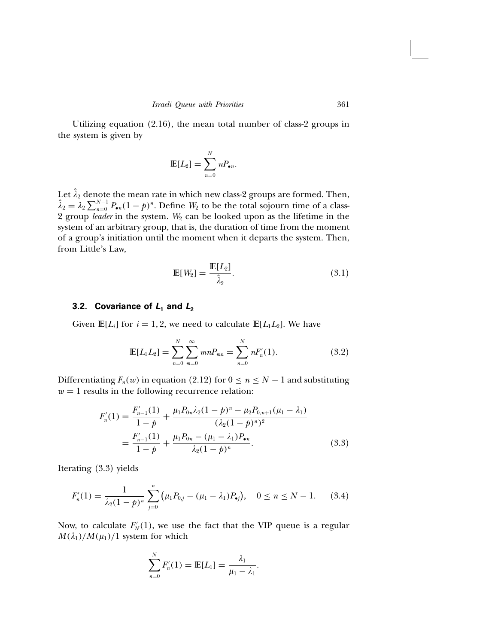Utilizing equation (2.16), the mean total number of class-2 groups in the system is given by

$$
\mathbb{E}[L_2] = \sum_{n=0}^N n P_{\bullet n}.
$$

Let  $\hat{\lambda}_2$  denote the mean rate in which new class-2 groups are formed. Then,  $\hat{\lambda}_2 = \lambda_2 \sum_{n=0}^{N-1} P_{\bullet n} (1-p)^n$ . Define  $W_2$  to be the total sojourn time of a class-2 group *leader* in the system.  $W_2$  can be looked upon as the lifetime in the system of an arbitrary group, that is, the duration of time from the moment of a group's initiation until the moment when it departs the system. Then, from Little's Law,

$$
\mathbb{E}[W_2] = \frac{\mathbb{E}[L_2]}{\hat{\lambda}_2}.
$$
\n(3.1)

## 3.2. Covariance of  $L_1$  and  $L_2$

Given  $\mathbb{E}[L_i]$  for  $i = 1, 2$ , we need to calculate  $\mathbb{E}[L_1L_2]$ . We have

$$
\mathbb{E}[L_1 L_2] = \sum_{n=0}^{N} \sum_{m=0}^{\infty} mn P_{mn} = \sum_{n=0}^{N} n F'_n(1).
$$
 (3.2)

Differentiating  $F_n(w)$  in equation (2.12) for  $0 \le n \le N-1$  and substituting  $w = 1$  results in the following recurrence relation:

$$
F'_{n}(1) = \frac{F'_{n-1}(1)}{1-p} + \frac{\mu_{1}P_{0n}\lambda_{2}(1-p)^{n} - \mu_{2}P_{0,n+1}(\mu_{1}-\lambda_{1})}{(\lambda_{2}(1-p)^{n})^{2}}
$$

$$
= \frac{F'_{n-1}(1)}{1-p} + \frac{\mu_{1}P_{0n} - (\mu_{1}-\lambda_{1})P_{\bullet n}}{\lambda_{2}(1-p)^{n}}.
$$
(3.3)

Iterating (3.3) yields

$$
F_n'(1) = \frac{1}{\lambda_2 (1 - p)^n} \sum_{j=0}^n (\mu_1 P_{0,j} - (\mu_1 - \lambda_1) P_{\bullet j}), \quad 0 \le n \le N - 1. \tag{3.4}
$$

Now, to calculate  $F'_{N}(1)$ , we use the fact that the VIP queue is a regular  $M(\lambda_1)/M(\mu_1)/1$  system for which

$$
\sum_{n=0}^{N} F'_n(1) = \mathbb{E}[L_1] = \frac{\lambda_1}{\mu_1 - \lambda_1}.
$$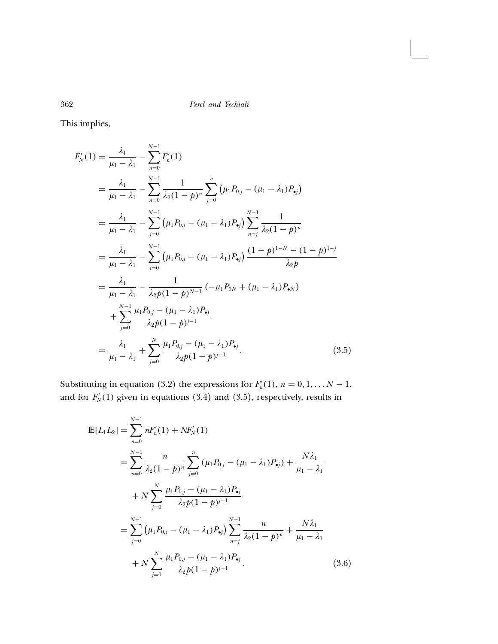This implies,

$$
F'_{N}(1) = \frac{\lambda_{1}}{\mu_{1} - \lambda_{1}} - \sum_{n=0}^{N-1} F'_{n}(1)
$$
  
\n
$$
= \frac{\lambda_{1}}{\mu_{1} - \lambda_{1}} - \sum_{n=0}^{N-1} \frac{1}{\lambda_{2}(1 - p)^{n}} \sum_{j=0}^{n} (\mu_{1}P_{0,j} - (\mu_{1} - \lambda_{1})P_{\bullet j})
$$
  
\n
$$
= \frac{\lambda_{1}}{\mu_{1} - \lambda_{1}} - \sum_{j=0}^{N-1} (\mu_{1}P_{0,j} - (\mu_{1} - \lambda_{1})P_{\bullet j}) \sum_{n=j}^{N-1} \frac{1}{\lambda_{2}(1 - p)^{n}}
$$
  
\n
$$
= \frac{\lambda_{1}}{\mu_{1} - \lambda_{1}} - \sum_{j=0}^{N-1} (\mu_{1}P_{0,j} - (\mu_{1} - \lambda_{1})P_{\bullet j}) \frac{(1 - p)^{1 - N} - (1 - p)^{1 - j}}{\lambda_{2}p}
$$
  
\n
$$
= \frac{\lambda_{1}}{\mu_{1} - \lambda_{1}} - \frac{1}{\lambda_{2}p(1 - p)^{N-1}} (-\mu_{1}P_{0N} + (\mu_{1} - \lambda_{1})P_{\bullet N})
$$
  
\n
$$
+ \sum_{j=0}^{N-1} \frac{\mu_{1}P_{0,j} - (\mu_{1} - \lambda_{1})P_{\bullet j}}{\lambda_{2}p(1 - p)^{j - 1}}
$$
  
\n
$$
= \frac{\lambda_{1}}{\mu_{1} - \lambda_{1}} + \sum_{j=0}^{N} \frac{\mu_{1}P_{0,j} - (\mu_{1} - \lambda_{1})P_{\bullet j}}{\lambda_{2}p(1 - p)^{j - 1}}.
$$
 (3.5)

Substituting in equation (3.2) the expressions for  $F_n'(1)$ ,  $n = 0, 1, \ldots N - 1$ , and for  $F'_{N}(1)$  given in equations (3.4) and (3.5), respectively, results in

$$
\begin{split} \mathbb{E}[L_{1}L_{2}] &= \sum_{n=0}^{N-1} nF_{n}'(1) + NF_{N}'(1) \\ &= \sum_{n=0}^{N-1} \frac{n}{\lambda_{2}(1-p)^{n}} \sum_{j=0}^{n} (\mu_{1}P_{0,j} - (\mu_{1} - \lambda_{1})P_{\bullet j}) + \frac{N\lambda_{1}}{\mu_{1} - \lambda_{1}} \\ &+ N \sum_{j=0}^{N} \frac{\mu_{1}P_{0,j} - (\mu_{1} - \lambda_{1})P_{\bullet j}}{\lambda_{2}p(1-p)^{j-1}} \\ &= \sum_{j=0}^{N-1} (\mu_{1}P_{0,j} - (\mu_{1} - \lambda_{1})P_{\bullet j}) \sum_{n=j}^{N-1} \frac{n}{\lambda_{2}(1-p)^{n}} + \frac{N\lambda_{1}}{\mu_{1} - \lambda_{1}} \\ &+ N \sum_{j=0}^{N} \frac{\mu_{1}P_{0,j} - (\mu_{1} - \lambda_{1})P_{\bullet j}}{\lambda_{2}p(1-p)^{j-1}}. \end{split} \tag{3.6}
$$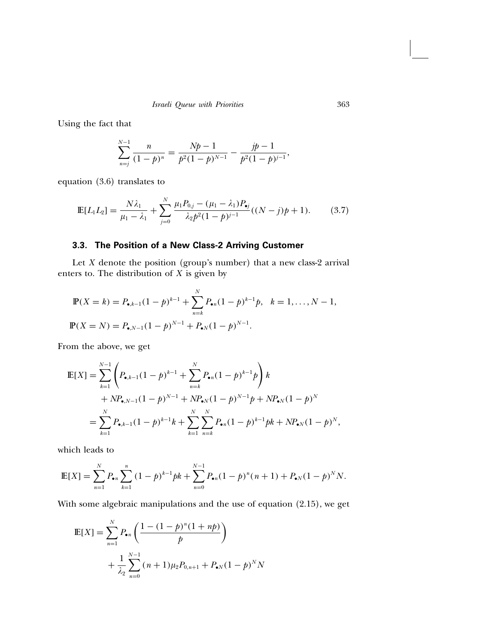Using the fact that

$$
\sum_{n=j}^{N-1} \frac{n}{(1-p)^n} = \frac{Np-1}{p^2(1-p)^{N-1}} - \frac{jp-1}{p^2(1-p)^{j-1}},
$$

equation (3.6) translates to

$$
\mathbb{E}[L_1 L_2] = \frac{N\lambda_1}{\mu_1 - \lambda_1} + \sum_{j=0}^{N} \frac{\mu_1 P_{0,j} - (\mu_1 - \lambda_1) P_{\bullet j}}{\lambda_2 p^2 (1 - p)^{j-1}} ((N - j)p + 1).
$$
 (3.7)

# 3.3. The Position of a New Class-2 Arriving Customer

Let  $X$  denote the position (group's number) that a new class-2 arrival enters to. The distribution of  $X$  is given by

$$
\mathbb{P}(X = k) = P_{\bullet, k-1}(1-p)^{k-1} + \sum_{n=k}^{N} P_{\bullet n}(1-p)^{k-1}p, \quad k = 1, ..., N-1,
$$
  

$$
\mathbb{P}(X = N) = P_{\bullet, N-1}(1-p)^{N-1} + P_{\bullet N}(1-p)^{N-1}.
$$

From the above, we get

$$
\mathbb{E}[X] = \sum_{k=1}^{N-1} \left( P_{\bullet,k-1}(1-p)^{k-1} + \sum_{n=k}^{N} P_{\bullet n}(1-p)^{k-1} p \right) k \n+ NP_{\bullet,N-1}(1-p)^{N-1} + NP_{\bullet N}(1-p)^{N-1} p + NP_{\bullet N}(1-p)^{N} \n= \sum_{k=1}^{N} P_{\bullet,k-1}(1-p)^{k-1} k + \sum_{k=1}^{N} \sum_{n=k}^{N} P_{\bullet n}(1-p)^{k-1} pk + NP_{\bullet N}(1-p)^{N},
$$

which leads to

$$
\mathbb{E}[X] = \sum_{n=1}^{N} P_{\bullet n} \sum_{k=1}^{n} (1-p)^{k-1} pk + \sum_{n=0}^{N-1} P_{\bullet n} (1-p)^{n} (n+1) + P_{\bullet N} (1-p)^{N} N.
$$

With some algebraic manipulations and the use of equation (2.15), we get

$$
\mathbb{E}[X] = \sum_{n=1}^{N} P_{\bullet n} \left( \frac{1 - (1 - p)^n (1 + np)}{p} \right) + \frac{1}{\lambda_2} \sum_{n=0}^{N-1} (n+1) \mu_2 P_{0,n+1} + P_{\bullet N} (1 - p)^N N
$$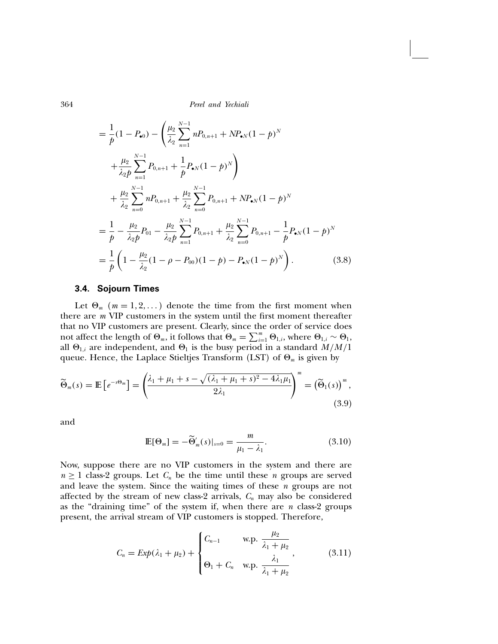364 Perel and Yechiali

$$
= \frac{1}{p}(1 - P_{\bullet 0}) - \left(\frac{\mu_2}{\lambda_2} \sum_{n=1}^{N-1} n P_{0,n+1} + N P_{\bullet N} (1 - p)^N\right)
$$
  
+  $\frac{\mu_2}{\lambda_2 p} \sum_{n=1}^{N-1} P_{0,n+1} + \frac{1}{p} P_{\bullet N} (1 - p)^N$   
+  $\frac{\mu_2}{\lambda_2} \sum_{n=0}^{N-1} n P_{0,n+1} + \frac{\mu_2}{\lambda_2} \sum_{n=0}^{N-1} P_{0,n+1} + N P_{\bullet N} (1 - p)^N$   
=  $\frac{1}{p} - \frac{\mu_2}{\lambda_2 p} P_{01} - \frac{\mu_2}{\lambda_2 p} \sum_{n=1}^{N-1} P_{0,n+1} + \frac{\mu_2}{\lambda_2} \sum_{n=0}^{N-1} P_{0,n+1} - \frac{1}{p} P_{\bullet N} (1 - p)^N$   
=  $\frac{1}{p} \left(1 - \frac{\mu_2}{\lambda_2} (1 - \rho - P_{00}) (1 - p) - P_{\bullet N} (1 - p)^N\right).$  (3.8)

#### 3.4. Sojourn Times

Let  $\Theta_m$  ( $m = 1, 2, \dots$ ) denote the time from the first moment when there are  $m$  VIP customers in the system until the first moment thereafter that no VIP customers are present. Clearly, since the order of service does not affect the length of  $\Theta_m$ , it follows that  $\Theta_m = \sum_{i=1}^m \Theta_{1,i}$ , where  $\Theta_{1,i} \sim \Theta_1$ , all  $\Theta_{1,i}$  are independent, and  $\Theta_1$  is the busy period in a standard  $M/M/1$ queue. Hence, the Laplace Stieltjes Transform (LST) of  $\Theta_m$  is given by

$$
\widetilde{\Theta}_m(s) = \mathbb{E}\left[e^{-s\Theta_m}\right] = \left(\frac{\lambda_1 + \mu_1 + s - \sqrt{(\lambda_1 + \mu_1 + s)^2 - 4\lambda_1\mu_1}}{2\lambda_1}\right)^m = \left(\widetilde{\Theta}_1(s)\right)^m,
$$
\n(3.9)

and

$$
\mathbb{E}[\Theta_m] = -\widetilde{\Theta}'_m(s)|_{s=0} = \frac{m}{\mu_1 - \lambda_1}.
$$
\n(3.10)

Now, suppose there are no VIP customers in the system and there are  $n \geq 1$  class-2 groups. Let  $C_n$  be the time until these *n* groups are served and leave the system. Since the waiting times of these  $n$  groups are not affected by the stream of new class-2 arrivals,  $C_n$  may also be considered as the "draining time" of the system if, when there are  $n$  class-2 groups present, the arrival stream of VIP customers is stopped. Therefore,

$$
C_n = Exp(\lambda_1 + \mu_2) + \begin{cases} C_{n-1} & \text{w.p. } \frac{\mu_2}{\lambda_1 + \mu_2} \\ \Theta_1 + C_n & \text{w.p. } \frac{\lambda_1}{\lambda_1 + \mu_2} \end{cases}
$$
 (3.11)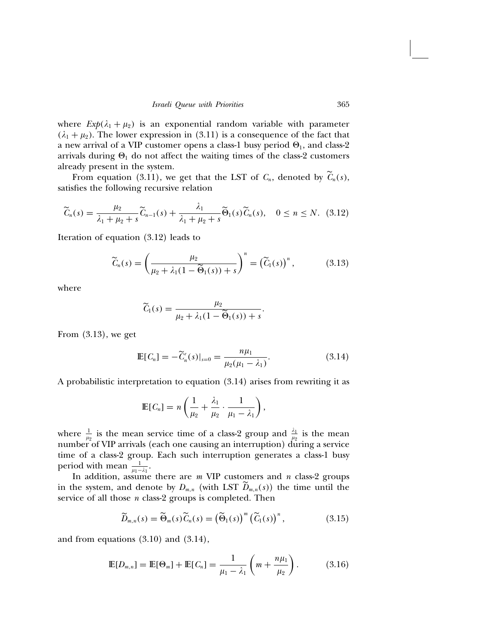where  $Exp(\lambda_1 + \mu_2)$  is an exponential random variable with parameter  $(\lambda_1 + \mu_2)$ . The lower expression in (3.11) is a consequence of the fact that a new arrival of a VIP customer opens a class-1 busy period  $\Theta_1$ , and class-2 arrivals during  $\Theta_1$  do not affect the waiting times of the class-2 customers already present in the system.

From equation (3.11), we get that the LST of  $C_n$ , denoted by  $C_n(s)$ , satisfies the following recursive relation

$$
\widetilde{C}_n(s) = \frac{\mu_2}{\lambda_1 + \mu_2 + s} \widetilde{C}_{n-1}(s) + \frac{\lambda_1}{\lambda_1 + \mu_2 + s} \widetilde{\Theta}_1(s) \widetilde{C}_n(s), \quad 0 \le n \le N. \tag{3.12}
$$

Iteration of equation (3.12) leads to

$$
\widetilde{C}_n(s) = \left(\frac{\mu_2}{\mu_2 + \lambda_1(1 - \widetilde{\Theta}_1(s)) + s}\right)^n = \left(\widetilde{C}_1(s)\right)^n, \tag{3.13}
$$

where

$$
\widetilde{C}_1(s) = \frac{\mu_2}{\mu_2 + \lambda_1(1 - \widetilde{\Theta}_1(s)) + s}.
$$

From (3.13), we get

$$
\mathbb{E}[C_n] = -\widetilde{C}'_n(s)|_{s=0} = \frac{n\mu_1}{\mu_2(\mu_1 - \lambda_1)}.
$$
\n(3.14)

A probabilistic interpretation to equation (3.14) arises from rewriting it as

$$
\mathbb{E}[C_n] = n\left(\frac{1}{\mu_2} + \frac{\lambda_1}{\mu_2} \cdot \frac{1}{\mu_1 - \lambda_1}\right),\,
$$

where  $\frac{1}{\mu_2}$  is the mean service time of a class-2 group and  $\frac{\lambda_1}{\mu_2}$  is the mean number of VIP arrivals (each one causing an interruption) during a service time of a class-2 group. Each such interruption generates a class-1 busy period with mean  $\frac{1}{\mu_1 - \lambda_1}$ .

In addition, assume there are  $m$  VIP customers and  $n$  class-2 groups in the system, and denote by  $D_{m,n}$  (with LST  $\widetilde{D}_{m,n}(s)$ ) the time until the service of all those  $n$  class-2 groups is completed. Then

$$
\widetilde{D}_{m,n}(s) = \widetilde{\Theta}_m(s)\widetilde{C}_n(s) = \left(\widetilde{\Theta}_1(s)\right)^m \left(\widetilde{C}_1(s)\right)^n, \tag{3.15}
$$

and from equations (3.10) and (3.14),

$$
\mathbb{E}[D_{m,n}] = \mathbb{E}[\Theta_m] + \mathbb{E}[C_n] = \frac{1}{\mu_1 - \lambda_1} \left( m + \frac{n\mu_1}{\mu_2} \right). \tag{3.16}
$$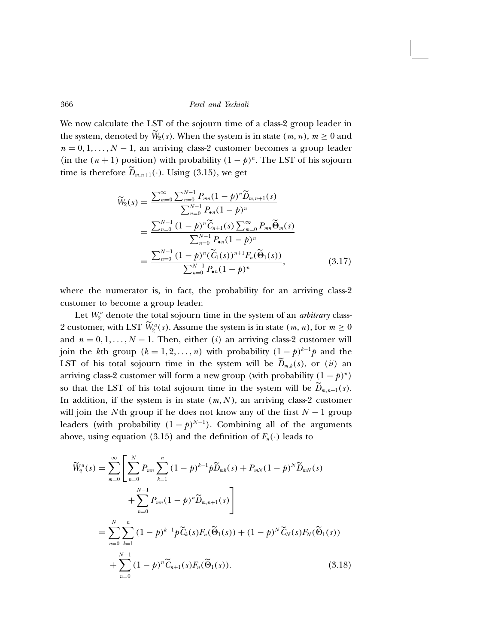We now calculate the LST of the sojourn time of a class-2 group leader in the system, denoted by  $\widetilde{W}_2(s)$ . When the system is in state  $(m, n)$ ,  $m \geq 0$  and  $n = 0, 1, \ldots, N - 1$ , an arriving class-2 customer becomes a group leader (in the  $(n + 1)$  position) with probability  $(1 - p)^n$ . The LST of his sojourn time is therefore  $\widetilde{D}_{m,n+1}(\cdot)$ . Using (3.15), we get

$$
\widetilde{W}_{2}(s) = \frac{\sum_{m=0}^{\infty} \sum_{n=0}^{N-1} P_{mn}(1-p)^{n} \widetilde{D}_{m,n+1}(s)}{\sum_{n=0}^{N-1} P_{\bullet n}(1-p)^{n}}
$$
\n
$$
= \frac{\sum_{n=0}^{N-1} (1-p)^{n} \widetilde{C}_{n+1}(s) \sum_{m=0}^{\infty} P_{mn} \widetilde{\Theta}_{m}(s)}{\sum_{n=0}^{N-1} P_{\bullet n}(1-p)^{n}}
$$
\n
$$
= \frac{\sum_{n=0}^{N-1} (1-p)^{n} (\widetilde{C}_{1}(s))^{n+1} F_{n}(\widetilde{\Theta}_{1}(s))}{\sum_{n=0}^{N-1} P_{\bullet n}(1-p)^{n}}, \qquad (3.17)
$$

where the numerator is, in fact, the probability for an arriving class-2 customer to become a group leader.

Let  $W_2^a$  denote the total sojourn time in the system of an *arbitrary* class-2 customer, with LST  $\hat{W}_2^a(s)$ . Assume the system is in state  $(m, n)$ , for  $m \ge 0$ and  $n = 0, 1, \ldots, N - 1$ . Then, either (i) an arriving class-2 customer will join the kth group  $(k = 1, 2, ..., n)$  with probability  $(1 - p)^{k-1}p$  and the LST of his total sojourn time in the system will be  $\widetilde{D}_{m,k}(s)$ , or (ii) an arriving class-2 customer will form a new group (with probability  $(1 - p)^n$ ) so that the LST of his total sojourn time in the system will be  $\widetilde{D}_{m,n+1}(s)$ . In addition, if the system is in state  $(m, N)$ , an arriving class-2 customer will join the N<sup>th</sup> group if he does not know any of the first  $N - 1$  group leaders (with probability  $(1 - p)^{N-1}$ ). Combining all of the arguments above, using equation (3.15) and the definition of  $F_n(\cdot)$  leads to

$$
\widetilde{W}_{2}^{a}(s) = \sum_{m=0}^{\infty} \left[ \sum_{n=0}^{N} P_{mn} \sum_{k=1}^{n} (1-p)^{k-1} p \widetilde{D}_{mk}(s) + P_{mN}(1-p)^{N} \widetilde{D}_{mN}(s) + \sum_{n=0}^{N-1} P_{mn}(1-p)^{n} \widetilde{D}_{m,n+1}(s) \right]
$$
\n
$$
= \sum_{n=0}^{N} \sum_{k=1}^{n} (1-p)^{k-1} p \widetilde{C}_{k}(s) F_{n}(\widetilde{\Theta}_{1}(s)) + (1-p)^{N} \widetilde{C}_{N}(s) F_{N}(\widetilde{\Theta}_{1}(s)) + \sum_{n=0}^{N-1} (1-p)^{n} \widetilde{C}_{n+1}(s) F_{n}(\widetilde{\Theta}_{1}(s)). \tag{3.18}
$$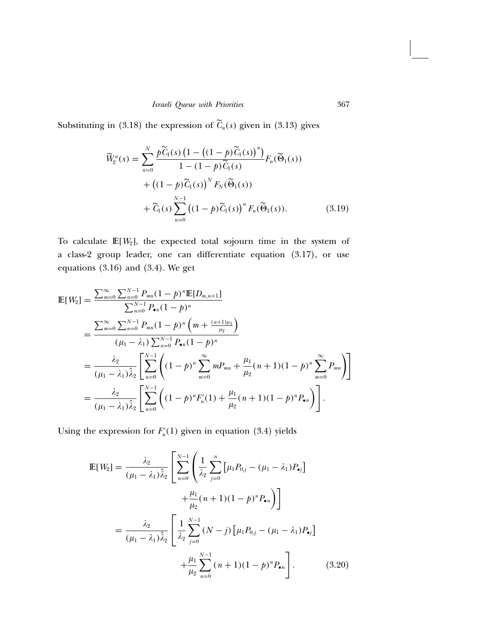Substituting in (3.18) the expression of  $C_n(s)$  given in (3.13) gives

$$
\widetilde{W}_{2}^{a}(s) = \sum_{n=0}^{N} \frac{p \widetilde{C}_{1}(s) \left(1 - \left((1-p)\widetilde{C}_{1}(s)\right)^{n}\right)}{1 - (1-p)\widetilde{C}_{1}(s)} F_{n}(\widetilde{\Theta}_{1}(s)) + \left((1-p)\widetilde{C}_{1}(s)\right)^{N} F_{N}(\widetilde{\Theta}_{1}(s)) + \widetilde{C}_{1}(s) \sum_{n=0}^{N-1} \left((1-p)\widetilde{C}_{1}(s)\right)^{n} F_{n}(\widetilde{\Theta}_{1}(s)). \tag{3.19}
$$

To calculate  $\mathbb{E}[W_2]$ , the expected total sojourn time in the system of a class-2 group leader, one can differentiate equation (3.17), or use equations (3.16) and (3.4). We get

$$
\mathbb{E}[W_2] = \frac{\sum_{m=0}^{\infty} \sum_{n=0}^{N-1} P_{mn} (1-p)^n \mathbb{E}[D_{m,n+1}]}{\sum_{n=0}^{N-1} P_{\bullet n} (1-p)^n}
$$
\n
$$
= \frac{\sum_{m=0}^{\infty} \sum_{n=0}^{N-1} P_{mn} (1-p)^n \left( m + \frac{(n+1)\mu_1}{\mu_2} \right)}{(\mu_1 - \lambda_1) \sum_{n=0}^{N-1} P_{\bullet n} (1-p)^n}
$$
\n
$$
= \frac{\lambda_2}{(\mu_1 - \lambda_1) \hat{\lambda}_2} \left[ \sum_{n=0}^{N-1} \left( (1-p)^n \sum_{m=0}^{\infty} m P_{mn} + \frac{\mu_1}{\mu_2} (n+1)(1-p)^n \sum_{m=0}^{\infty} P_{mn} \right) \right]
$$
\n
$$
= \frac{\lambda_2}{(\mu_1 - \lambda_1) \hat{\lambda}_2} \left[ \sum_{n=0}^{N-1} \left( (1-p)^n F_n' (1) + \frac{\mu_1}{\mu_2} (n+1)(1-p)^n P_{\bullet n} \right) \right].
$$

Using the expression for  $F_n'(1)$  given in equation (3.4) yields

$$
\mathbb{E}[W_2] = \frac{\lambda_2}{(\mu_1 - \lambda_1)\hat{\lambda}_2} \left[ \sum_{n=0}^{N-1} \left( \frac{1}{\lambda_2} \sum_{j=0}^n \left[ \mu_1 P_{0,j} - (\mu_1 - \lambda_1) P_{\bullet j} \right] + \frac{\mu_1}{\mu_2} (n+1)(1-p)^n P_{\bullet n} \right) \right]
$$
  

$$
= \frac{\lambda_2}{(\mu_1 - \lambda_1)\hat{\lambda}_2} \left[ \frac{1}{\lambda_2} \sum_{j=0}^{N-1} (N-j) \left[ \mu_1 P_{0,j} - (\mu_1 - \lambda_1) P_{\bullet j} \right] + \frac{\mu_1}{\mu_2} \sum_{n=0}^{N-1} (n+1)(1-p)^n P_{\bullet n} \right].
$$
 (3.20)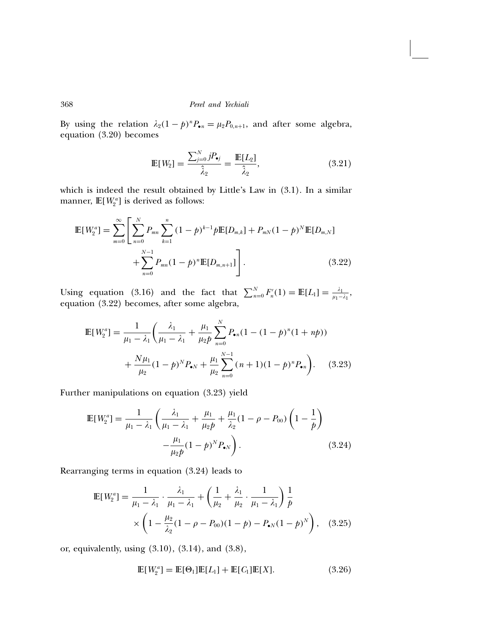By using the relation  $\lambda_2(1 - p)^n P_{\bullet n} = \mu_2 P_{0, n+1}$ , and after some algebra, equation (3.20) becomes

$$
\mathbb{E}[W_2] = \frac{\sum_{j=0}^{N} j P_{\bullet j}}{\hat{\lambda}_2} = \frac{\mathbb{E}[L_2]}{\hat{\lambda}_2},
$$
\n(3.21)

which is indeed the result obtained by Little's Law in (3.1). In a similar manner,  $\mathbb{E}[W_2^a]$  is derived as follows:

$$
\mathbb{E}[W_2^a] = \sum_{m=0}^{\infty} \left[ \sum_{n=0}^N P_{mn} \sum_{k=1}^n (1-p)^{k-1} p \mathbb{E}[D_{m,k}] + P_{mN} (1-p)^N \mathbb{E}[D_{m,N}] + \sum_{n=0}^{N-1} P_{mn} (1-p)^n \mathbb{E}[D_{m,n+1}] \right].
$$
\n(3.22)

Using equation (3.16) and the fact that  $\sum_{n=0}^{N} F'_n(1) = \mathbb{E}[L_1] = \frac{\lambda_1}{\mu_1 - \lambda_1}$ , equation (3.22) becomes, after some algebra,

$$
\mathbb{E}[W_2^a] = \frac{1}{\mu_1 - \lambda_1} \left( \frac{\lambda_1}{\mu_1 - \lambda_1} + \frac{\mu_1}{\mu_2 p} \sum_{n=0}^N P_{\bullet n} (1 - (1 - p)^n (1 + np)) + \frac{N\mu_1}{\mu_2} (1 - p)^N P_{\bullet N} + \frac{\mu_1}{\mu_2} \sum_{n=0}^{N-1} (n + 1)(1 - p)^n P_{\bullet n} \right).
$$
 (3.23)

Further manipulations on equation (3.23) yield

$$
\mathbb{E}[W_2^a] = \frac{1}{\mu_1 - \lambda_1} \left( \frac{\lambda_1}{\mu_1 - \lambda_1} + \frac{\mu_1}{\mu_2 p} + \frac{\mu_1}{\lambda_2} (1 - \rho - P_{00}) \left( 1 - \frac{1}{p} \right) - \frac{\mu_1}{\mu_2 p} (1 - p)^N P_{\bullet N} \right).
$$
 (3.24)

Rearranging terms in equation (3.24) leads to

$$
\mathbb{E}[W_2^a] = \frac{1}{\mu_1 - \lambda_1} \cdot \frac{\lambda_1}{\mu_1 - \lambda_1} + \left(\frac{1}{\mu_2} + \frac{\lambda_1}{\mu_2} \cdot \frac{1}{\mu_1 - \lambda_1}\right) \frac{1}{p}
$$
  
 
$$
\times \left(1 - \frac{\mu_2}{\lambda_2} (1 - \rho - P_{00}) (1 - p) - P_{\bullet N} (1 - p)^N\right), \quad (3.25)
$$

or, equivalently, using (3.10), (3.14), and (3.8),

$$
\mathbb{E}[W_2^a] = \mathbb{E}[\Theta_1]\mathbb{E}[L_1] + \mathbb{E}[C_1]\mathbb{E}[X]. \tag{3.26}
$$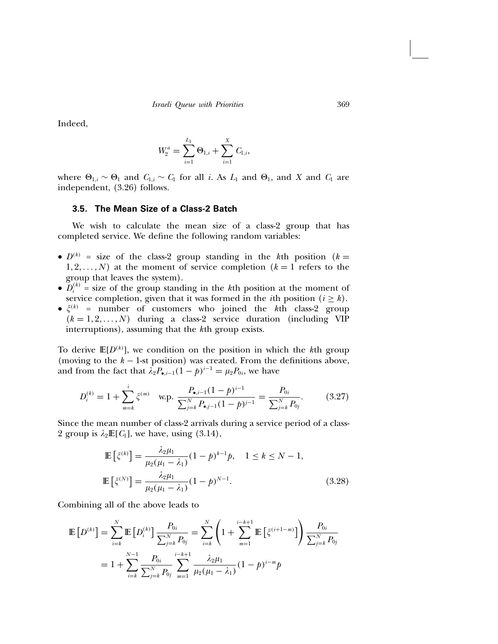Indeed,

$$
W_2^a = \sum_{i=1}^{L_1} \Theta_{1,i} + \sum_{i=1}^X C_{1,i},
$$

where  $\Theta_{1,i} \sim \Theta_1$  and  $C_{1,i} \sim C_1$  for all i. As  $L_1$  and  $\Theta_1$ , and X and  $C_1$  are independent, (3.26) follows.

#### 3.5. The Mean Size of a Class-2 Batch

We wish to calculate the mean size of a class-2 group that has completed service. We define the following random variables:

- $D^{(k)}$  = size of the class-2 group standing in the kth position (k =  $1, 2, \ldots, N$  at the moment of service completion  $(k = 1$  refers to the group that leaves the system).
- $D_i^{(k)}$  = size of the group standing in the kth position at the moment of service completion, given that it was formed in the *i*th position ( $i \geq k$ ).
- $\bullet$   $\xi^{(k)}$  = number of customers who joined the kth class-2 group  $(k = 1, 2, \dots, N)$  during a class-2 service duration (including VIP) interruptions), assuming that the kth group exists.

To derive  $\mathbb{E}[D^{(k)}]$ , we condition on the position in which the kth group (moving to the  $k - 1$ -st position) was created. From the definitions above, and from the fact that  $\lambda_2 P_{\bullet,i-1}(1-p)^{i-1} = \mu_2 P_{0i}$ , we have

$$
D_i^{(k)} = 1 + \sum_{m=k}^i \zeta^{(m)} \quad \text{w.p.} \quad \frac{P_{\bullet, i-1} (1-p)^{i-1}}{\sum_{j=k}^N P_{\bullet, j-1} (1-p)^{j-1}} = \frac{P_{0i}}{\sum_{j=k}^N P_{0j}}.
$$
 (3.27)

Since the mean number of class-2 arrivals during a service period of a class-2 group is  $\lambda_2 \mathbb{E}[C_1]$ , we have, using (3.14),

$$
\mathbb{E}\left[\xi^{(k)}\right] = \frac{\lambda_2 \mu_1}{\mu_2(\mu_1 - \lambda_1)} (1 - p)^{k-1} p, \quad 1 \le k \le N - 1,
$$
  

$$
\mathbb{E}\left[\xi^{(N)}\right] = \frac{\lambda_2 \mu_1}{\mu_2(\mu_1 - \lambda_1)} (1 - p)^{N-1}.
$$
 (3.28)

Combining all of the above leads to

$$
\mathbb{E}\left[D^{(k)}\right] = \sum_{i=k}^{N} \mathbb{E}\left[D_i^{(k)}\right] \frac{P_{0i}}{\sum_{j=k}^{N} P_{0j}} = \sum_{i=k}^{N} \left(1 + \sum_{m=1}^{i-k+1} \mathbb{E}\left[\xi^{(i+1-m)}\right]\right) \frac{P_{0i}}{\sum_{j=k}^{N} P_{0j}}
$$
  
=  $1 + \sum_{i=k}^{N-1} \frac{P_{0i}}{\sum_{j=k}^{N} P_{0j}} \sum_{m=1}^{i-k+1} \frac{\lambda_2 \mu_1}{\mu_2(\mu_1 - \lambda_1)} (1 - p)^{i-m} p$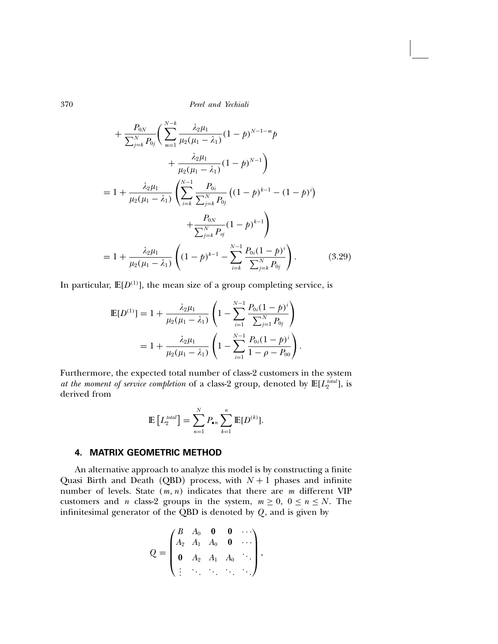370 Perel and Yechiali

$$
+\frac{P_{0N}}{\sum_{j=k}^{N} P_{0j}} \left( \sum_{m=1}^{N-k} \frac{\lambda_2 \mu_1}{\mu_2(\mu_1 - \lambda_1)} (1 - p)^{N-1-m} p + \frac{\lambda_2 \mu_1}{\mu_2(\mu_1 - \lambda_1)} (1 - p)^{N-1} \right)
$$
  
=  $1 + \frac{\lambda_2 \mu_1}{\mu_2(\mu_1 - \lambda_1)} \left( \sum_{i=k}^{N-1} \frac{P_{0i}}{\sum_{j=k}^{N} P_{0j}} \left( (1 - p)^{k-1} - (1 - p)^i \right) + \frac{P_{0N}}{\sum_{j=k}^{N} P_{0j}} (1 - p)^{k-1} \right)$   
=  $1 + \frac{\lambda_2 \mu_1}{\mu_2(\mu_1 - \lambda_1)} \left( (1 - p)^{k-1} - \sum_{i=k}^{N-1} \frac{P_{0i} (1 - p)^i}{\sum_{j=k}^{N} P_{0j}} \right).$  (3.29)

In particular,  $\mathbb{E}[D^{(1)}]$ , the mean size of a group completing service, is

$$
\mathbb{E}[D^{(1)}] = 1 + \frac{\lambda_2 \mu_1}{\mu_2(\mu_1 - \lambda_1)} \left( 1 - \sum_{i=1}^{N-1} \frac{P_{0i} (1 - p)^i}{\sum_{j=1}^N P_{0j}} \right)
$$
  
=  $1 + \frac{\lambda_2 \mu_1}{\mu_2(\mu_1 - \lambda_1)} \left( 1 - \sum_{i=1}^{N-1} \frac{P_{0i} (1 - p)^i}{1 - \rho - P_{00}} \right).$ 

Furthermore, the expected total number of class-2 customers in the system at the moment of service completion of a class-2 group, denoted by  $\mathbb{E}[L_2^{total}]$ , is derived from

$$
\mathbb{E}\left[L_2^{total}\right] = \sum_{n=1}^N P_{\bullet n} \sum_{k=1}^n \mathbb{E}[D^{(k)}].
$$

## 4. MATRIX GEOMETRIC METHOD

An alternative approach to analyze this model is by constructing a finite Quasi Birth and Death (QBD) process, with  $N + 1$  phases and infinite number of levels. State  $(m, n)$  indicates that there are m different VIP customers and *n* class-2 groups in the system,  $m \ge 0$ ,  $0 \le n \le N$ . The infinitesimal generator of the QBD is denoted by  $Q$ , and is given by

$$
Q = \begin{pmatrix} B & A_0 & \mathbf{0} & \mathbf{0} & \cdots \\ A_2 & A_1 & A_0 & \mathbf{0} & \cdots \\ \mathbf{0} & A_2 & A_1 & A_0 & \cdots \\ \vdots & \vdots & \ddots & \ddots & \ddots \end{pmatrix},
$$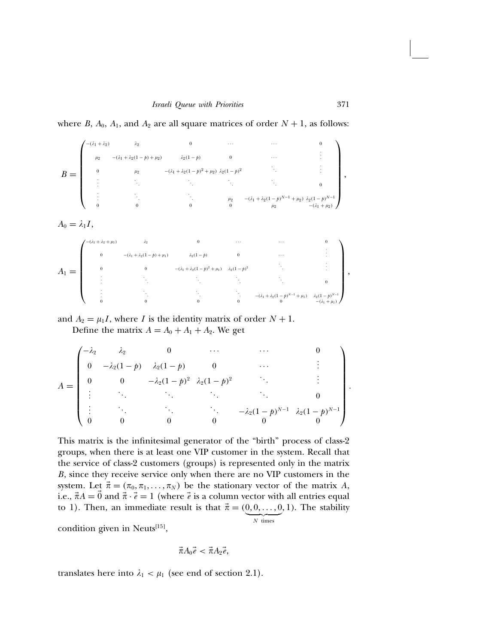where B,  $A_0$ ,  $A_1$ , and  $A_2$  are all square matrices of order  $N + 1$ , as follows:

$$
B = \begin{pmatrix} -(\lambda_1 + \lambda_2) & \lambda_2 & 0 & \cdots & \cdots & 0 \\ \mu_2 & -(\lambda_1 + \lambda_2(1-p) + \mu_2) & \lambda_2(1-p) & 0 & \cdots & \vdots \\ 0 & \mu_2 & -(\lambda_1 + \lambda_2(1-p)^2 + \mu_2) & \lambda_2(1-p)^2 & \ddots & \vdots \\ \vdots & \vdots & \ddots & \ddots & \ddots & \ddots & 0 \\ \vdots & \ddots & \ddots & \ddots & \ddots & \ddots & 0 \\ \vdots & \ddots & \ddots & \ddots & \mu_2 & -(\lambda_1 + \lambda_2(1-p)^{N-1} + \mu_2) & \lambda_2(1-p)^{N-1} \\ 0 & 0 & 0 & 0 & \mu_2 & -((\lambda_1 + \mu_2)) \end{pmatrix},
$$

$$
A_0=\lambda_1I,
$$

|  | $\sqrt{-(\lambda_1 + \lambda_2 + \mu_1)}$ | $\mathcal{A}_2$                         |                                                              | $\cdots$     | .                                                                                                |  |
|--|-------------------------------------------|-----------------------------------------|--------------------------------------------------------------|--------------|--------------------------------------------------------------------------------------------------|--|
|  | $\Omega$                                  | $-(\lambda_1 + \lambda_2(1-p) + \mu_1)$ | $\lambda_2(1-p)$                                             |              | .                                                                                                |  |
|  |                                           | $\bf{0}$                                | $-(\lambda_1 + \lambda_2(1-p)^2 + \mu_1)$ $\lambda_2(1-p)^2$ |              |                                                                                                  |  |
|  | ٠                                         |                                         |                                                              |              |                                                                                                  |  |
|  |                                           | $\Omega$                                |                                                              | $\mathbf{0}$ | $-(\lambda_1 + \lambda_2(1-p)^{N-1} + \mu_1)$ $\lambda_2(1-p)^{N-1}$<br>0 $-(\lambda_1 + \mu_1)$ |  |

and  $A_2 = \mu_1 I$ , where I is the identity matrix of order  $N + 1$ . Define the matrix  $A = A_0 + A_1 + A_2$ . We get

$$
A = \begin{pmatrix} -\lambda_2 & \lambda_2 & 0 & \cdots & 0 \\ 0 & -\lambda_2(1-p) & \lambda_2(1-p) & 0 & \cdots & \vdots \\ 0 & 0 & -\lambda_2(1-p)^2 & \lambda_2(1-p)^2 & \ddots & \vdots \\ \vdots & \ddots & \ddots & \ddots & \ddots & 0 \\ \vdots & \ddots & \ddots & \ddots & -\lambda_2(1-p)^{N-1} & \lambda_2(1-p)^{N-1} \\ 0 & 0 & 0 & 0 & 0 & 0 \end{pmatrix}
$$

This matrix is the infinitesimal generator of the "birth" process of class-2 groups, when there is at least one VIP customer in the system. Recall that the service of class-2 customers (groups) is represented only in the matrix B, since they receive service only when there are no VIP customers in the system. Let  $\vec{\pi} = (\pi_0, \pi_1, \dots, \pi_N)$  be the stationary vector of the matrix A, i.e.,  $\vec{\pi}A = 0$  and  $\vec{\pi} \cdot \vec{e} = 1$  (where  $\vec{e}$  is a column vector with all entries equal to 1). Then, an immediate result is that  $\vec{\pi} = (\underbrace{0,0,\ldots,0}_{},1)$ . The stability  $N$  times

condition given in Neuts<sup>[15]</sup>,

$$
\vec{\pi}A_0\vec{e} < \vec{\pi}A_2\vec{e},
$$

translates here into  $\lambda_1 < \mu_1$  (see end of section 2.1).

 $\ddot{\phantom{0}}$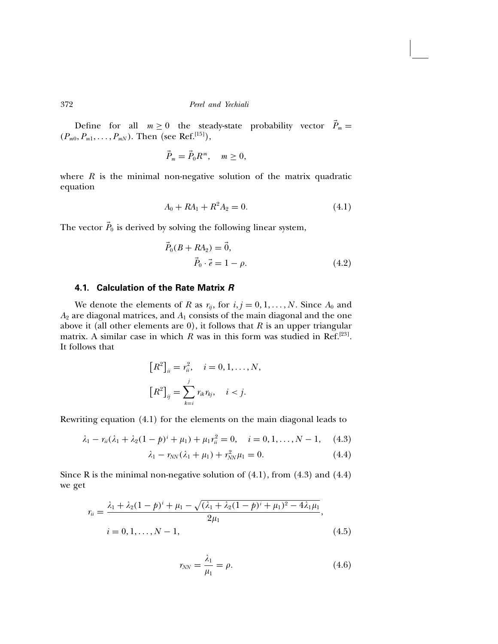Define for all  $m \geq 0$  the steady-state probability vector  $\vec{P}_m =$  $(P_{m0}, P_{m1}, \ldots, P_{mN})$ . Then (see Ref.<sup>[15]</sup>),

$$
\vec{P}_m = \vec{P}_0 R^m, \quad m \ge 0,
$$

where  $R$  is the minimal non-negative solution of the matrix quadratic equation

$$
A_0 + R A_1 + R^2 A_2 = 0. \tag{4.1}
$$

The vector  $\vec{P}_0$  is derived by solving the following linear system,

$$
\tilde{P}_0(B + RA_2) = 0, \n\vec{P}_0 \cdot \vec{e} = 1 - \rho.
$$
\n(4.2)

## 4.1. Calculation of the Rate Matrix R

We denote the elements of R as  $r_{ij}$ , for  $i, j = 0, 1, ..., N$ . Since  $A_0$  and  $A_2$  are diagonal matrices, and  $A_1$  consists of the main diagonal and the one above it (all other elements are 0), it follows that  $R$  is an upper triangular matrix. A similar case in which R was in this form was studied in Ref.<sup>[23]</sup>. It follows that

$$
[R2]ii = rii2, \quad i = 0, 1, \dots, N,
$$

$$
[R2]ij = \sum_{k=i}^{j} r_{ik} r_{kj}, \quad i < j.
$$

Rewriting equation (4.1) for the elements on the main diagonal leads to

$$
\lambda_1 - r_{ii}(\lambda_1 + \lambda_2(1-p)^i + \mu_1) + \mu_1 r_{ii}^2 = 0, \quad i = 0, 1, ..., N-1, \quad (4.3)
$$

$$
\lambda_1 - r_{NN}(\lambda_1 + \mu_1) + r_{NN}^2 \mu_1 = 0. \tag{4.4}
$$

Since R is the minimal non-negative solution of  $(4.1)$ , from  $(4.3)$  and  $(4.4)$ we get

$$
r_{ii} = \frac{\lambda_1 + \lambda_2 (1 - p)^i + \mu_1 - \sqrt{(\lambda_1 + \lambda_2 (1 - p)^i + \mu_1)^2 - 4\lambda_1 \mu_1}}{2\mu_1},
$$
  
\n
$$
i = 0, 1, ..., N - 1,
$$
\n(4.5)

$$
r_{NN} = \frac{\lambda_1}{\mu_1} = \rho. \tag{4.6}
$$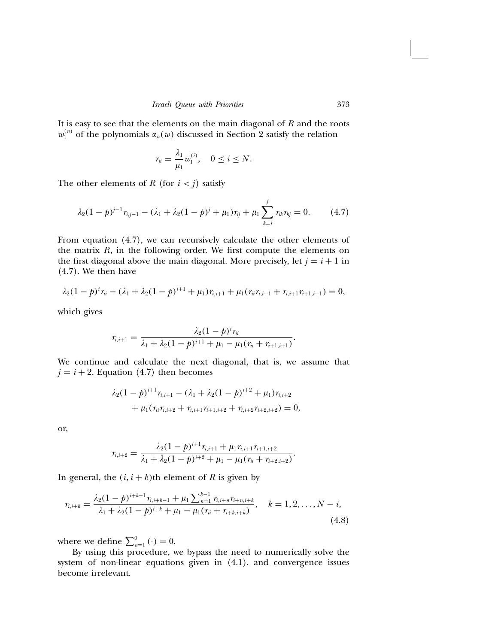It is easy to see that the elements on the main diagonal of  $R$  and the roots  $w_1^{(n)}$  of the polynomials  $\alpha_n(w)$  discussed in Section 2 satisfy the relation

$$
r_{ii} = \frac{\lambda_1}{\mu_1} w_1^{(i)}, \quad 0 \le i \le N.
$$

The other elements of R (for  $i < j$ ) satisfy

$$
\lambda_2(1-p)^{j-1}r_{i,j-1} - (\lambda_1 + \lambda_2(1-p)^j + \mu_1)r_{ij} + \mu_1 \sum_{k=i}^j r_{ik}r_{kj} = 0.
$$
 (4.7)

From equation (4.7), we can recursively calculate the other elements of the matrix  $R$ , in the following order. We first compute the elements on the first diagonal above the main diagonal. More precisely, let  $j = i + 1$  in (4.7). We then have

$$
\lambda_2(1-p)^i r_{ii} - (\lambda_1 + \lambda_2(1-p)^{i+1} + \mu_1) r_{i,i+1} + \mu_1 (r_{ii} r_{i,i+1} + r_{i,i+1} r_{i+1,i+1}) = 0,
$$

which gives

$$
r_{i,i+1} = \frac{\lambda_2(1-p)^i r_{ii}}{\lambda_1 + \lambda_2(1-p)^{i+1} + \mu_1 - \mu_1(r_{ii} + r_{i+1,i+1})}.
$$

We continue and calculate the next diagonal, that is, we assume that  $j = i + 2$ . Equation (4.7) then becomes

$$
\lambda_2(1-p)^{i+1}r_{i,i+1} - (\lambda_1 + \lambda_2(1-p)^{i+2} + \mu_1)r_{i,i+2} + \mu_1(r_{ii}r_{i,i+2} + r_{i,i+1}r_{i+1,i+2} + r_{i,i+2}r_{i+2,i+2}) = 0,
$$

or,

$$
r_{i,i+2} = \frac{\lambda_2 (1-p)^{i+1} r_{i,i+1} + \mu_1 r_{i,i+1} r_{i+1,i+2}}{\lambda_1 + \lambda_2 (1-p)^{i+2} + \mu_1 - \mu_1 (r_{ii} + r_{i+2,i+2})}
$$

 $\ddot{\phantom{0}}$ 

In general, the  $(i, i + k)$ th element of R is given by

$$
r_{i,i+k} = \frac{\lambda_2 (1-p)^{i+k-1} r_{i,i+k-1} + \mu_1 \sum_{n=1}^{k-1} r_{i,i+n} r_{i+n,i+k}}{\lambda_1 + \lambda_2 (1-p)^{i+k} + \mu_1 - \mu_1 (r_{ii} + r_{i+k,i+k})}, \quad k = 1, 2, \dots, N - i,
$$
\n(4.8)

where we define  $\sum_{n=1}^{0} (\cdot) = 0$ .

By using this procedure, we bypass the need to numerically solve the system of non-linear equations given in (4.1), and convergence issues become irrelevant.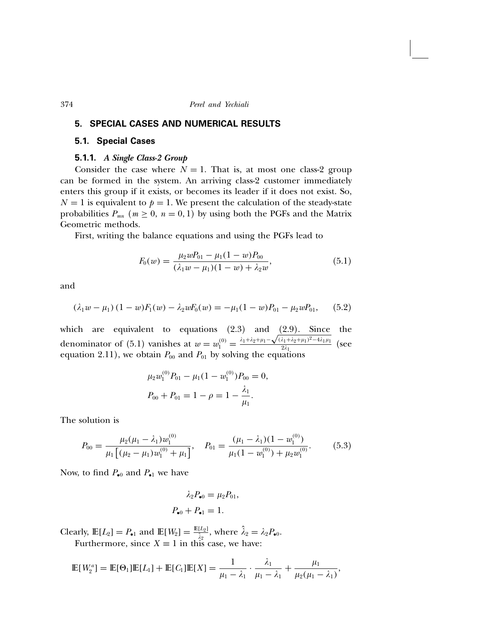## 5. SPECIAL CASES AND NUMERICAL RESULTS

#### 5.1. Special Cases

#### 5.1.1. A Single Class-2 Group

Consider the case where  $N = 1$ . That is, at most one class-2 group can be formed in the system. An arriving class-2 customer immediately enters this group if it exists, or becomes its leader if it does not exist. So,  $N = 1$  is equivalent to  $p = 1$ . We present the calculation of the steady-state probabilities  $P_{mn}$  ( $m \ge 0$ ,  $n = 0, 1$ ) by using both the PGFs and the Matrix Geometric methods.

First, writing the balance equations and using the PGFs lead to

$$
F_0(w) = \frac{\mu_2 w P_{01} - \mu_1 (1 - w) P_{00}}{(\lambda_1 w - \mu_1)(1 - w) + \lambda_2 w},
$$
\n(5.1)

and

$$
(\lambda_1 w - \mu_1) (1 - w) F_1(w) - \lambda_2 w F_0(w) = -\mu_1 (1 - w) P_{01} - \mu_2 w P_{01}, \qquad (5.2)
$$

which are equivalent to equations (2.3) and (2.9). Since the denominator of (5.1) vanishes at  $w = w_1^{(0)} = \frac{\lambda_1 + \lambda_2 + \mu_1 - \sqrt{(\lambda_1 + \lambda_2 + \mu_1)^2 - 4\lambda_1 \mu_1}}{2\lambda_1}$  (see equation 2.11), we obtain  $P_{00}$  and  $P_{01}$  by solving the equations

$$
\mu_2 w_1^{(0)} P_{01} - \mu_1 (1 - w_1^{(0)}) P_{00} = 0,
$$
  

$$
P_{00} + P_{01} = 1 - \rho = 1 - \frac{\lambda_1}{\mu_1}.
$$

The solution is

$$
P_{00} = \frac{\mu_2(\mu_1 - \lambda_1) w_1^{(0)}}{\mu_1 \left[ (\mu_2 - \mu_1) w_1^{(0)} + \mu_1 \right]}, \quad P_{01} = \frac{(\mu_1 - \lambda_1)(1 - w_1^{(0)})}{\mu_1 (1 - w_1^{(0)}) + \mu_2 w_1^{(0)}}.
$$
 (5.3)

Now, to find  $P_{\bullet 0}$  and  $P_{\bullet 1}$  we have

$$
\lambda_2 P_{\bullet 0} = \mu_2 P_{01},
$$
  

$$
P_{\bullet 0} + P_{\bullet 1} = 1.
$$

Clearly,  $\mathbb{E}[L_2] = P_{\bullet 1}$  and  $\mathbb{E}[W_2] = \frac{\mathbb{E}[L_2]}{\hat{\lambda}_2}$  $\frac{L_{21}}{\lambda_2}$ , where  $\lambda_2 = \lambda_2 P_{\bullet 0}$ . Furthermore, since  $X \equiv 1$  in this case, we have:

$$
\mathbb{E}[W_2^a] = \mathbb{E}[\Theta_1]\mathbb{E}[L_1] + \mathbb{E}[C_1]\mathbb{E}[X] = \frac{1}{\mu_1 - \lambda_1} \cdot \frac{\lambda_1}{\mu_1 - \lambda_1} + \frac{\mu_1}{\mu_2(\mu_1 - \lambda_1)},
$$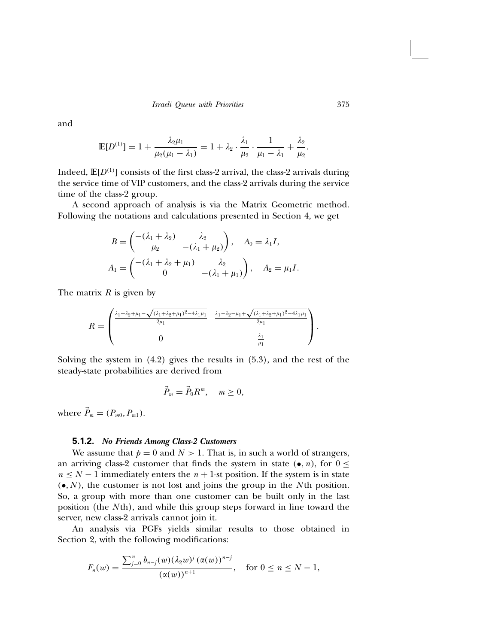and

$$
\mathbb{E}[D^{(1)}] = 1 + \frac{\lambda_2 \mu_1}{\mu_2(\mu_1 - \lambda_1)} = 1 + \lambda_2 \cdot \frac{\lambda_1}{\mu_2} \cdot \frac{1}{\mu_1 - \lambda_1} + \frac{\lambda_2}{\mu_2}.
$$

Indeed,  $\mathbb{E}[D^{(1)}]$  consists of the first class-2 arrival, the class-2 arrivals during the service time of VIP customers, and the class-2 arrivals during the service time of the class-2 group.

A second approach of analysis is via the Matrix Geometric method. Following the notations and calculations presented in Section 4, we get

$$
B = \begin{pmatrix} -(\lambda_1 + \lambda_2) & \lambda_2 \\ \mu_2 & -(\lambda_1 + \mu_2) \end{pmatrix}, \quad A_0 = \lambda_1 I,
$$
  

$$
A_1 = \begin{pmatrix} -(\lambda_1 + \lambda_2 + \mu_1) & \lambda_2 \\ 0 & -(\lambda_1 + \mu_1) \end{pmatrix}, \quad A_2 = \mu_1 I.
$$

The matrix  $R$  is given by

$$
R = \begin{pmatrix} \frac{\lambda_1 + \lambda_2 + \mu_1 - \sqrt{(\lambda_1 + \lambda_2 + \mu_1)^2 - 4\lambda_1\mu_1}}{2\mu_1} & \frac{\lambda_1 - \lambda_2 - \mu_1 + \sqrt{(\lambda_1 + \lambda_2 + \mu_1)^2 - 4\lambda_1\mu_1}}{2\mu_1} \\ 0 & \frac{\lambda_1}{\mu_1} \end{pmatrix}.
$$

Solving the system in (4.2) gives the results in (5.3), and the rest of the steady-state probabilities are derived from

$$
\vec{P}_m = \vec{P}_0 R^m, \quad m \ge 0,
$$

where  $\vec{P}_m = (P_{m0}, P_{m1}).$ 

#### 5.1.2. No Friends Among Class-2 Customers

We assume that  $p = 0$  and  $N > 1$ . That is, in such a world of strangers, an arriving class-2 customer that finds the system in state ( $\bullet$ , *n*), for  $0 \leq$  $n \leq N-1$  immediately enters the  $n+1$ -st position. If the system is in state  $(\bullet, N)$ , the customer is not lost and joins the group in the Nth position. So, a group with more than one customer can be built only in the last position (the Nth), and while this group steps forward in line toward the server, new class-2 arrivals cannot join it.

An analysis via PGFs yields similar results to those obtained in Section 2, with the following modifications:

$$
F_n(w) = \frac{\sum_{j=0}^n b_{n-j}(w) (\lambda_2 w)^j (\alpha(w))^{n-j}}{(\alpha(w))^{n+1}}, \text{ for } 0 \le n \le N-1,
$$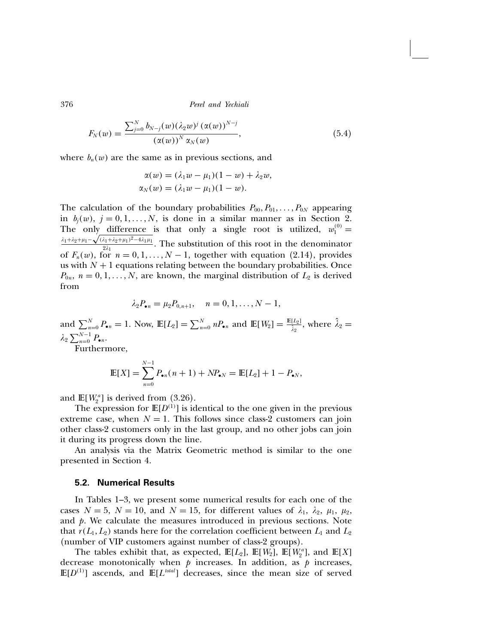376 Perel and Yechiali

$$
F_N(w) = \frac{\sum_{j=0}^{N} b_{N-j}(w) (\lambda_2 w)^j (\alpha(w))^{N-j}}{(\alpha(w))^N \alpha_N(w)},
$$
\n(5.4)

where  $b_n(w)$  are the same as in previous sections, and

$$
\alpha(w) = (\lambda_1 w - \mu_1)(1 - w) + \lambda_2 w,
$$
  
\n
$$
\alpha_N(w) = (\lambda_1 w - \mu_1)(1 - w).
$$

The calculation of the boundary probabilities  $P_{00}, P_{01}, \ldots, P_{0N}$  appearing in  $b_i(w)$ ,  $j = 0, 1, ..., N$ , is done in a similar manner as in Section 2. The only difference is that only a single root is utilized,  $w_1^{(0)} =$  $\frac{\lambda_1+\lambda_2+\mu_1-\sqrt{(\lambda_1+\lambda_2+\mu_1)^2-4\lambda_1\mu_1}}{2\lambda_1}$ . The substitution of this root in the denominator of  $F_n(w)$ , for  $n = 0, 1, ..., N - 1$ , together with equation (2.14), provides us with  $N + 1$  equations relating between the boundary probabilities. Once  $P_{0n}$ ,  $n = 0, 1, ..., N$ , are known, the marginal distribution of  $L_2$  is derived from

$$
\lambda_2 P_{\bullet n} = \mu_2 P_{0,n+1}, \quad n = 0, 1, \ldots, N-1,
$$

and  $\sum_{n=0}^{N} P_{\bullet n} = 1$ . Now,  $\mathbb{E}[L_2] = \sum_{n=0}^{N} n P_{\bullet n}$  and  $\mathbb{E}[W_2] = \frac{\mathbb{E}[L_2]}{\hat{\lambda}_2}$  $\frac{L_{21}}{\lambda_2}$ , where  $\lambda_2 =$  $\lambda_2 \sum_{n=0}^{N-1} P_{\bullet n}.$ 

Furthermore,

$$
\mathbb{E}[X] = \sum_{n=0}^{N-1} P_{\bullet n}(n+1) + N P_{\bullet N} = \mathbb{E}[L_2] + 1 - P_{\bullet N},
$$

and  $\mathbb{E}[W_2^a]$  is derived from (3.26).

The expression for  $\mathbb{E}[D^{(1)}]$  is identical to the one given in the previous extreme case, when  $N = 1$ . This follows since class-2 customers can join other class-2 customers only in the last group, and no other jobs can join it during its progress down the line.

An analysis via the Matrix Geometric method is similar to the one presented in Section 4.

#### 5.2. Numerical Results

In Tables 1–3, we present some numerical results for each one of the cases  $N = 5$ ,  $N = 10$ , and  $N = 15$ , for different values of  $\lambda_1$ ,  $\lambda_2$ ,  $\mu_1$ ,  $\mu_2$ , and  $p$ . We calculate the measures introduced in previous sections. Note that  $r(L_1, L_2)$  stands here for the correlation coefficient between  $L_1$  and  $L_2$ (number of VIP customers against number of class-2 groups).

The tables exhibit that, as expected,  $\mathbb{E}[L_2]$ ,  $\mathbb{E}[W_2]$ ,  $\mathbb{E}[W_2^a]$ , and  $\mathbb{E}[X]$ decrease monotonically when  $p$  increases. In addition, as  $p$  increases,  $\mathbb{E}[D^{(1)}]$  ascends, and  $\mathbb{E}[L^{total}]$  decreases, since the mean size of served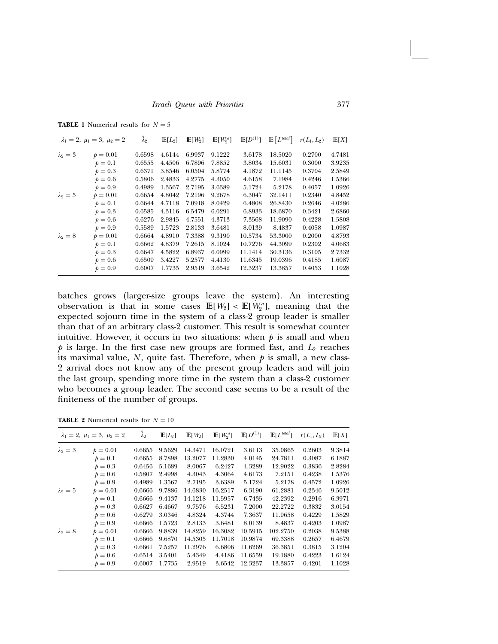|               | $\lambda_1 = 2, \mu_1 = 3, \mu_2 = 2$ | $\lambda_2$ | $\mathbb{E}[L_2]$ | $\mathbb{E}[W_2]$ | $\mathbb{E}[W_2^a]$ | $E[D^{(1)}]$ | $\mathbb{E}[L^{total}]$ | $r(L_1, L_2)$ | E[X]   |
|---------------|---------------------------------------|-------------|-------------------|-------------------|---------------------|--------------|-------------------------|---------------|--------|
| $\lambda_2=3$ | $p = 0.01$                            | 0.6598      | 4.6144            | 6.9937            | 9.1222              | 3.6178       | 18.5020                 | 0.2700        | 4.7481 |
|               | $p = 0.1$                             | 0.6555      | 4.4506            | 6.7896            | 7.8852              | 3.8034       | 15.6031                 | 0.3000        | 3.9235 |
|               | $p = 0.3$                             | 0.6371      | 3.8546            | 6.0504            | 5.8774              | 4.1872       | 11.1145                 | 0.3704        | 2.5849 |
|               | $p = 0.6$                             | 0.5806      | 2.4833            | 4.2775            | 4.3050              | 4.6158       | 7.1984                  | 0.4246        | 1.5366 |
|               | $p = 0.9$                             | 0.4989      | 1.3567            | 2.7195            | 3.6389              | 5.1724       | 5.2178                  | 0.4057        | 1.0926 |
| $\lambda_2=5$ | $p = 0.01$                            | 0.6654      | 4.8042            | 7.2196            | 9.2678              | 6.3047       | 32.1411                 | 0.2340        | 4.8452 |
|               | $p = 0.1$                             | 0.6644      | 4.7118            | 7.0918            | 8.0429              | 6.4808       | 26.8430                 | 0.2646        | 4.0286 |
|               | $p = 0.3$                             | 0.6585      | 4.3116            | 6.5479            | 6.0291              | 6.8933       | 18.6870                 | 0.3421        | 2.6860 |
|               | $p = 0.6$                             | 0.6276      | 2.9845            | 4.7551            | 4.3713              | 7.3568       | 11.9090                 | 0.4228        | 1.5808 |
|               | $p = 0.9$                             | 0.5589      | 1.5723            | 2.8133            | 3.6481              | 8.0139       | 8.4837                  | 0.4058        | 1.0987 |
| $\lambda_2=8$ | $p = 0.01$                            | 0.6664      | 4.8910            | 7.3388            | 9.3190              | 10.5734      | 53.3000                 | 0.2000        | 4.8793 |
|               | $p = 0.1$                             | 0.6662      | 4.8379            | 7.2615            | 8.1024              | 10.7276      | 44.3099                 | 0.2302        | 4.0683 |
|               | $p = 0.3$                             | 0.6647      | 4.5822            | 6.8937            | 6.0999              | 11.1414      | 30.3136                 | 0.3105        | 2.7332 |
|               | $p = 0.6$                             | 0.6509      | 3.4227            | 5.2577            | 4.4130              | 11.6345      | 19.0396                 | 0.4185        | 1.6087 |
|               | $p = 0.9$                             | 0.6007      | 1.7735            | 2.9519            | 3.6542              | 12.3237      | 13.3857                 | 0.4053        | 1.1028 |

**TABLE 1** Numerical results for  $N = 5$ 

batches grows (larger-size groups leave the system). An interesting observation is that in some cases  $\mathbb{E}[W_2] < \mathbb{E}[W_2^n]$ , meaning that the expected sojourn time in the system of a class-2 group leader is smaller than that of an arbitrary class-2 customer. This result is somewhat counter intuitive. However, it occurs in two situations: when  $p$  is small and when p is large. In the first case new groups are formed fast, and  $L_2$  reaches its maximal value, N, quite fast. Therefore, when  $p$  is small, a new class-2 arrival does not know any of the present group leaders and will join the last group, spending more time in the system than a class-2 customer who becomes a group leader. The second case seems to be a result of the finiteness of the number of groups.

|               | $\lambda_1 = 2, \mu_1 = 3, \mu_2 = 2$ | $\lambda_2$ | $\mathbb{E}[L_2]$ | $\mathbb{E}[W_2]$ | $\mathbb{E}[W_2^a]$ | $E[D^{(1)}]$ | $\mathbb{E}[L^{total}]$ | $r(L_1, L_2)$ | E[X]   |
|---------------|---------------------------------------|-------------|-------------------|-------------------|---------------------|--------------|-------------------------|---------------|--------|
| $\lambda_2=3$ | $p = 0.01$                            | 0.6655      | 9.5629            | 14.3471           | 16.0721             | 3.6113       | 35.0865                 | 0.2603        | 9.3814 |
|               | $p = 0.1$                             | 0.6655      | 8.7898            | 13.2077           | 11.2830             | 4.0145       | 24.7811                 | 0.3087        | 6.1887 |
|               | $p = 0.3$                             | 0.6456      | 5.1689            | 8.0067            | 6.2427              | 4.3289       | 12.9022                 | 0.3836        | 2.8284 |
|               | $p = 0.6$                             | 0.5807      | 2.4998            | 4.3043            | 4.3064              | 4.6173       | 7.2151                  | 0.4238        | 1.5376 |
|               | $p = 0.9$                             | 0.4989      | 1.3567            | 2.7195            | 3.6389              | 5.1724       | 5.2178                  | 0.4572        | 1.0926 |
| $\lambda_2=5$ | $p = 0.01$                            | 0.6666      | 9.7886            | 14.6830           | 16.2517             | 6.3190       | 61.2881                 | 0.2346        | 9.5012 |
|               | $p = 0.1$                             | 0.6666      | 9.4137            | 14.1218           | 11.5957             | 6.7435       | 42.2392                 | 0.2916        | 6.3971 |
|               | $p = 0.3$                             | 0.6627      | 6.4667            | 9.7576            | 6.5231              | 7.2000       | 22.2722                 | 0.3832        | 3.0154 |
|               | $p = 0.6$                             | 0.6279      | 3.0346            | 4.8324            | 4.3744              | 7.3637       | 11.9658                 | 0.4229        | 1.5829 |
|               | $p = 0.9$                             | 0.6666      | 1.5723            | 2.8133            | 3.6481              | 8.0139       | 8.4837                  | 0.4203        | 1.0987 |
| $\lambda_2=8$ | $p = 0.01$                            | 0.6666      | 9.8839            | 14.8259           | 16.3082             | 10.5915      | 102.2750                | 0.2038        | 9.5388 |
|               | $p = 0.1$                             | 0.6666      | 9.6870            | 14.5305           | 11.7018             | 10.9874      | 69.3388                 | 0.2657        | 6.4679 |
|               | $p = 0.3$                             | 0.6661      | 7.5257            | 11.2976           | 6.6806              | 11.6269      | 36.3851                 | 0.3815        | 3.1204 |
|               | $p = 0.6$                             | 0.6514      | 3.5401            | 5.4349            | 4.4186              | 11.6559      | 19.1880                 | 0.4223        | 1.6124 |
|               | $p = 0.9$                             | 0.6007      | 1.7735            | 2.9519            | 3.6542              | 12.3237      | 13.3857                 | 0.4201        | 1.1028 |

**TABLE 2** Numerical results for  $N = 10$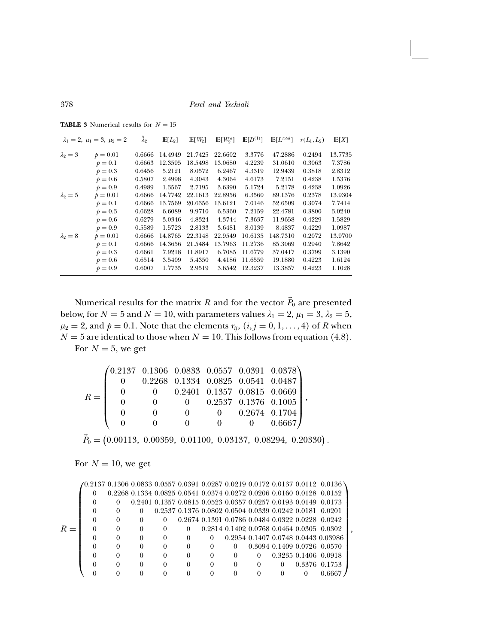|               | $\lambda_1 = 2, \mu_1 = 3, \mu_2 = 2$ | $\hat{\lambda}_2$ | $\mathbb{E}[L_2]$ | $\mathbb{E}[W_2]$ | $\mathbb{E}[W_2^a]$ | $E[D^{(1)}]$ | $\mathbb{E}[L^{total}]$ | $r(L_1, L_2)$ | E[X]    |
|---------------|---------------------------------------|-------------------|-------------------|-------------------|---------------------|--------------|-------------------------|---------------|---------|
| $\lambda_2=3$ | $p = 0.01$                            | 0.6666            | 14.4949           | 21.7425           | 22.6602             | 3.3776       | 47.2886                 | 0.2494        | 13.7735 |
|               | $p = 0.1$                             | 0.6663            | 12.3595           | 18.5498           | 13.0680             | 4.2239       | 31.0610                 | 0.3063        | 7.3786  |
|               | $p = 0.3$                             | 0.6456            | 5.2121            | 8.0572            | 6.2467              | 4.3319       | 12.9439                 | 0.3818        | 2.8312  |
|               | $p = 0.6$                             | 0.5807            | 2.4998            | 4.3043            | 4.3064              | 4.6173       | 7.2151                  | 0.4238        | 1.5376  |
|               | $p = 0.9$                             | 0.4989            | 1.3567            | 2.7195            | 3.6390              | 5.1724       | 5.2178                  | 0.4238        | 1.0926  |
| $\lambda_2=5$ | $p = 0.01$                            | 0.6666            | 14.7742           | 22.1613           | 22.8956             | 6.3560       | 89.1376                 | 0.2378        | 13.9304 |
|               | $p = 0.1$                             | 0.6666            | 13.7569           | 20.6356           | 13.6121             | 7.0146       | 52.6509                 | 0.3074        | 7.7414  |
|               | $p = 0.3$                             | 0.6628            | 6.6089            | 9.9710            | 6.5360              | 7.2159       | 22.4781                 | 0.3800        | 3.0240  |
|               | $p = 0.6$                             | 0.6279            | 3.0346            | 4.8324            | 4.3744              | 7.3637       | 11.9658                 | 0.4229        | 1.5829  |
|               | $p = 0.9$                             | 0.5589            | 1.5723            | 2.8133            | 3.6481              | 8.0139       | 8.4837                  | 0.4229        | 1.0987  |
| $\lambda_2=8$ | $p = 0.01$                            | 0.6666            | 14.8765           | 22.3148           | 22.9549             | 10.6135      | 148.7310                | 0.2072        | 13.9700 |
|               | $p = 0.1$                             | 0.6666            | 14.3656           | 21.5484           | 13.7963             | 11.2736      | 85.3069                 | 0.2940        | 7.8642  |
|               | $p = 0.3$                             | 0.6661            | 7.9218            | 11.8917           | 6.7085              | 11.6779      | 37.0417                 | 0.3799        | 3.1390  |
|               | $p = 0.6$                             | 0.6514            | 3.5409            | 5.4350            | 4.4186              | 11.6559      | 19.1880                 | 0.4223        | 1.6124  |
|               | $p = 0.9$                             | 0.6007            | 1.7735            | 2.9519            | 3.6542              | 12.3237      | 13.3857                 | 0.4223        | 1.1028  |

**TABLE 3** Numerical results for  $N = 15$ 

Numerical results for the matrix R and for the vector  $\vec{P}_0$  are presented below, for  $N = 5$  and  $N = 10$ , with parameters values  $\lambda_1 = 2$ ,  $\mu_1 = 3$ ,  $\lambda_2 = 5$ ,  $\mu_2 = 2$ , and  $p = 0.1$ . Note that the elements  $r_{ij}$ ,  $(i, j = 0, 1, ..., 4)$  of R when  $N = 5$  are identical to those when  $N = 10$ . This follows from equation (4.8). For  $N = 5$ , we get

|       | $\begin{pmatrix} 0.2137 & 0.1306 & 0.0833 & 0.0557 & 0.0391 & 0.0378 \\ 0 & 0.2268 & 0.1334 & 0.0825 & 0.0541 & 0.0487 \end{pmatrix}$ |  |                                     |                      |  |
|-------|---------------------------------------------------------------------------------------------------------------------------------------|--|-------------------------------------|----------------------|--|
| $R =$ |                                                                                                                                       |  |                                     |                      |  |
|       |                                                                                                                                       |  | $0.2401$ $0.1357$ $0.0815$ $0.0669$ |                      |  |
|       |                                                                                                                                       |  |                                     | 0.2537 0.1376 0.1005 |  |
|       |                                                                                                                                       |  |                                     | 0.2674 0.1704        |  |
|       |                                                                                                                                       |  |                                     | 0.6667               |  |

 $P_0 = (0.00113, 0.00359, 0.01100, 0.03137, 0.08294, 0.20330).$ 

For  $N = 10$ , we get

|       |          |          |          |          |                                                         |  |  | $(0.21370.13060.08330.05570.03910.02870.02190.01720.01370.01120.0136)$ |  |
|-------|----------|----------|----------|----------|---------------------------------------------------------|--|--|------------------------------------------------------------------------|--|
|       | $\Omega$ |          |          |          |                                                         |  |  | 0.2268 0.1334 0.0825 0.0541 0.0374 0.0272 0.0206 0.0160 0.0128 0.0152  |  |
|       |          |          |          |          |                                                         |  |  | 0.2401 0.1357 0.0815 0.0523 0.0357 0.0257 0.0193 0.0149 0.0173         |  |
|       | $\Omega$ |          |          |          | 0.2537 0.1376 0.0802 0.0504 0.0339 0.0242 0.0181 0.0201 |  |  |                                                                        |  |
|       | $\Omega$ | $\Omega$ |          |          |                                                         |  |  | 0.2674 0.1391 0.0786 0.0484 0.0322 0.0228 0.0242                       |  |
| $R =$ |          |          |          |          |                                                         |  |  | 0.2814 0.1402 0.0768 0.0464 0.0305 0.0302                              |  |
|       | $\Omega$ | $\theta$ | $\theta$ | $\theta$ | $\Omega$                                                |  |  | 0.2954 0.1407 0.0748 0.0443 0.03986                                    |  |
|       |          |          |          |          |                                                         |  |  | 0.3094 0.1409 0.0726 0.0570                                            |  |
|       | $\Omega$ | $\theta$ | $\theta$ |          | $\theta$                                                |  |  | 0.3235 0.1406 0.0918                                                   |  |
|       | 0        | $\Omega$ |          |          |                                                         |  |  | 0.3376 0.1753                                                          |  |
|       |          |          |          |          |                                                         |  |  | 0.6667                                                                 |  |